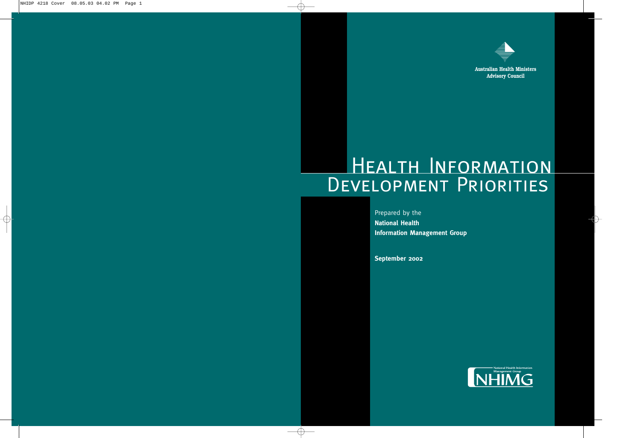

**Australian Health Ministers Advisory Council**

# Health Information DEVELOPMENT PRIORITIES

Prepared by the **National Health Information Management Group**

**September 2002**

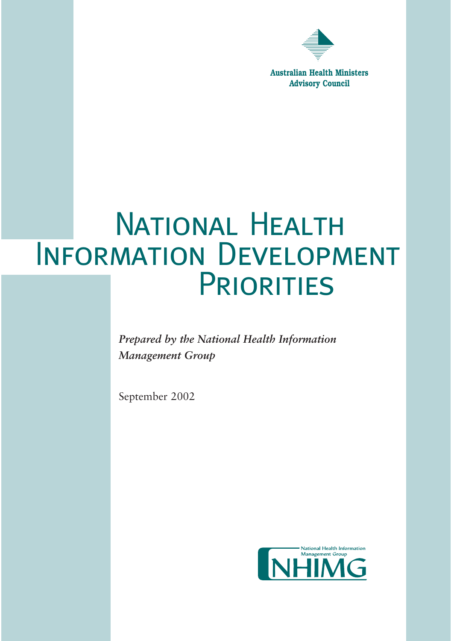

**Australian Health Ministers Advisory Council**

# NATIONAL HEALTH INFORMATION DEVELOPMENT **PRIORITIES**

*Prepared by the National Health Information Management Group*

September 2002

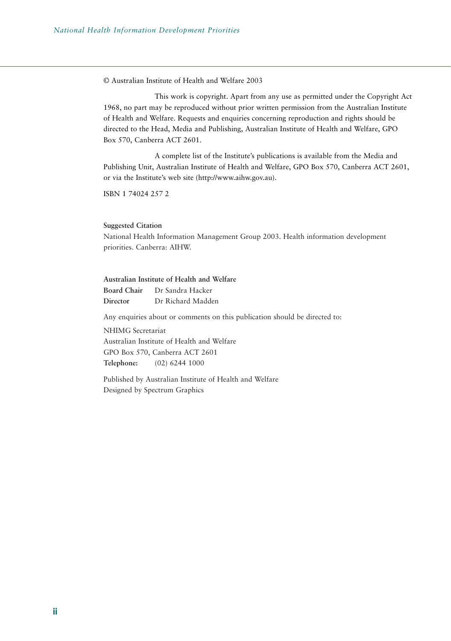© Australian Institute of Health and Welfare 2003

This work is copyright. Apart from any use as permitted under the Copyright Act 1968, no part may be reproduced without prior written permission from the Australian Institute of Health and Welfare. Requests and enquiries concerning reproduction and rights should be directed to the Head, Media and Publishing, Australian Institute of Health and Welfare, GPO Box 570, Canberra ACT 2601.

A complete list of the Institute's publications is available from the Media and Publishing Unit, Australian Institute of Health and Welfare, GPO Box 570, Canberra ACT 2601, or via the Institute's web site (http://www.aihw.gov.au).

ISBN 1 74024 257 2

#### **Suggested Citation**

National Health Information Management Group 2003. Health information development priorities. Canberra: AIHW.

#### **Australian Institute of Health and Welfare Board Chair** Dr Sandra Hacker **Director** Dr Richard Madden

Any enquiries about or comments on this publication should be directed to:

NHIMG Secretariat Australian Institute of Health and Welfare GPO Box 570, Canberra ACT 2601 **Telephone:** (02) 6244 1000

Published by Australian Institute of Health and Welfare Designed by Spectrum Graphics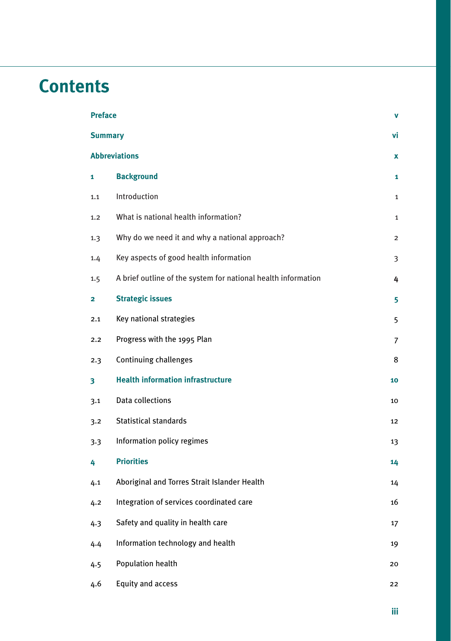# **Contents**

| <b>Preface</b><br>v       |                                                               |                |  |
|---------------------------|---------------------------------------------------------------|----------------|--|
| <b>Summary</b><br>٧i      |                                                               |                |  |
| <b>Abbreviations</b><br>x |                                                               |                |  |
| 1                         | <b>Background</b>                                             | 1              |  |
| 1.1                       | Introduction                                                  | $\mathbf 1$    |  |
| 1,2                       | What is national health information?                          | $\mathbf 1$    |  |
| 1.3                       | Why do we need it and why a national approach?                | $\overline{2}$ |  |
| 1.4                       | Key aspects of good health information                        | 3              |  |
| 1.5                       | A brief outline of the system for national health information | 4              |  |
| 2                         | <b>Strategic issues</b>                                       | 5              |  |
| 2.1                       | Key national strategies                                       | 5              |  |
| 2.2                       | Progress with the 1995 Plan                                   | 7              |  |
| 2.3                       | Continuing challenges                                         | 8              |  |
| 3                         | <b>Health information infrastructure</b>                      | 10             |  |
| 3.1                       | Data collections                                              | 10             |  |
| 3.2                       | <b>Statistical standards</b>                                  | 12             |  |
| 3.3                       | Information policy regimes                                    | 13             |  |
| 4                         | <b>Priorities</b>                                             | 14             |  |
| 4.1                       | Aboriginal and Torres Strait Islander Health                  | 14             |  |
| 4.2                       | Integration of services coordinated care                      | 16             |  |
| 4.3                       | Safety and quality in health care                             | 17             |  |
| 4.4                       | Information technology and health                             | 19             |  |
| 4.5                       | <b>Population health</b>                                      | 20             |  |
| 4.6                       | Equity and access                                             | 22             |  |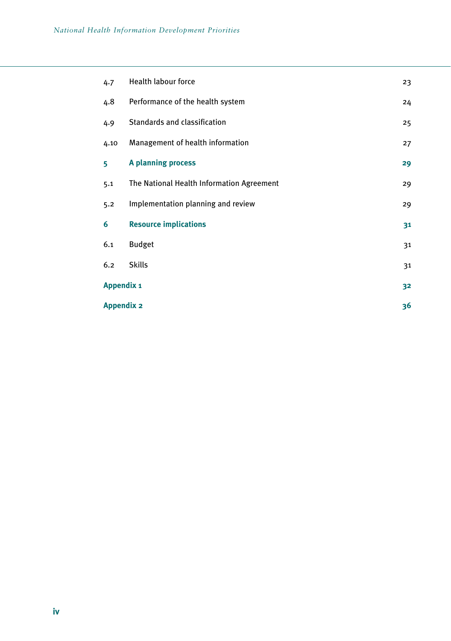| 4.7               | <b>Health labour force</b>                | 23 |
|-------------------|-------------------------------------------|----|
| 4.8               | Performance of the health system          | 24 |
| 4.9               | Standards and classification              | 25 |
| 4.10              | Management of health information          | 27 |
| 5                 | A planning process                        | 29 |
| 5.1               | The National Health Information Agreement | 29 |
| 5.2               | Implementation planning and review        | 29 |
| 6                 | <b>Resource implications</b>              | 31 |
| 6.1               | <b>Budget</b>                             | 31 |
| 6.2               | <b>Skills</b>                             | 31 |
| <b>Appendix 1</b> |                                           | 32 |
| <b>Appendix 2</b> |                                           | 36 |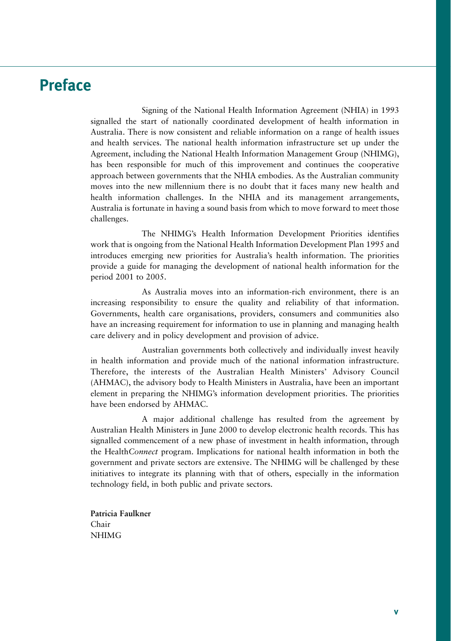# **Preface**

Signing of the National Health Information Agreement (NHIA) in 1993 signalled the start of nationally coordinated development of health information in Australia. There is now consistent and reliable information on a range of health issues and health services. The national health information infrastructure set up under the Agreement, including the National Health Information Management Group (NHIMG), has been responsible for much of this improvement and continues the cooperative approach between governments that the NHIA embodies. As the Australian community moves into the new millennium there is no doubt that it faces many new health and health information challenges. In the NHIA and its management arrangements, Australia is fortunate in having a sound basis from which to move forward to meet those challenges.

The NHIMG's Health Information Development Priorities identifies work that is ongoing from the National Health Information Development Plan 1995 and introduces emerging new priorities for Australia's health information. The priorities provide a guide for managing the development of national health information for the period 2001 to 2005.

As Australia moves into an information-rich environment, there is an increasing responsibility to ensure the quality and reliability of that information. Governments, health care organisations, providers, consumers and communities also have an increasing requirement for information to use in planning and managing health care delivery and in policy development and provision of advice.

Australian governments both collectively and individually invest heavily in health information and provide much of the national information infrastructure. Therefore, the interests of the Australian Health Ministers' Advisory Council (AHMAC), the advisory body to Health Ministers in Australia, have been an important element in preparing the NHIMG's information development priorities. The priorities have been endorsed by AHMAC.

A major additional challenge has resulted from the agreement by Australian Health Ministers in June 2000 to develop electronic health records. This has signalled commencement of a new phase of investment in health information, through the Health*Connect* program. Implications for national health information in both the government and private sectors are extensive. The NHIMG will be challenged by these initiatives to integrate its planning with that of others, especially in the information technology field, in both public and private sectors.

**Patricia Faulkner** Chair NHIMG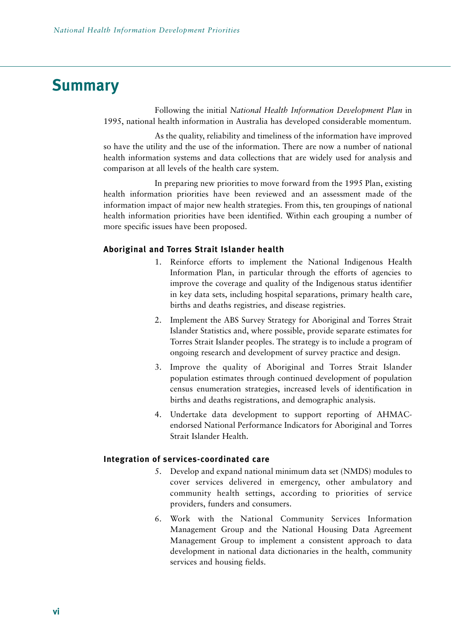# **Summary**

Following the initial *National Health Information Development Plan* in 1995, national health information in Australia has developed considerable momentum.

As the quality, reliability and timeliness of the information have improved so have the utility and the use of the information. There are now a number of national health information systems and data collections that are widely used for analysis and comparison at all levels of the health care system.

In preparing new priorities to move forward from the 1995 Plan, existing health information priorities have been reviewed and an assessment made of the information impact of major new health strategies. From this, ten groupings of national health information priorities have been identified. Within each grouping a number of more specific issues have been proposed.

#### **Aboriginal and Torres Strait Islander health**

- 1. Reinforce efforts to implement the National Indigenous Health Information Plan, in particular through the efforts of agencies to improve the coverage and quality of the Indigenous status identifier in key data sets, including hospital separations, primary health care, births and deaths registries, and disease registries.
- 2. Implement the ABS Survey Strategy for Aboriginal and Torres Strait Islander Statistics and, where possible, provide separate estimates for Torres Strait Islander peoples. The strategy is to include a program of ongoing research and development of survey practice and design.
- 3. Improve the quality of Aboriginal and Torres Strait Islander population estimates through continued development of population census enumeration strategies, increased levels of identification in births and deaths registrations, and demographic analysis.
- 4. Undertake data development to support reporting of AHMACendorsed National Performance Indicators for Aboriginal and Torres Strait Islander Health.

#### **Integration of services-coordinated care**

- 5. Develop and expand national minimum data set (NMDS) modules to cover services delivered in emergency, other ambulatory and community health settings, according to priorities of service providers, funders and consumers.
- 6. Work with the National Community Services Information Management Group and the National Housing Data Agreement Management Group to implement a consistent approach to data development in national data dictionaries in the health, community services and housing fields.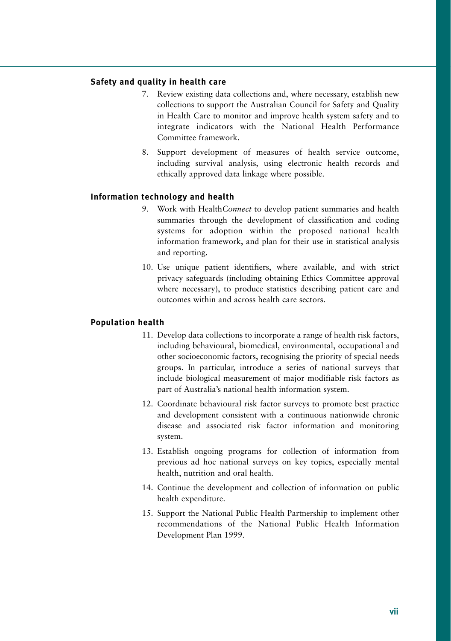#### **Safety and quality in health care**

- 7. Review existing data collections and, where necessary, establish new collections to support the Australian Council for Safety and Quality in Health Care to monitor and improve health system safety and to integrate indicators with the National Health Performance Committee framework.
- 8. Support development of measures of health service outcome, including survival analysis, using electronic health records and ethically approved data linkage where possible.

#### **Information technology and health**

- 9. Work with Health*Connect* to develop patient summaries and health summaries through the development of classification and coding systems for adoption within the proposed national health information framework, and plan for their use in statistical analysis and reporting.
- 10. Use unique patient identifiers, where available, and with strict privacy safeguards (including obtaining Ethics Committee approval where necessary), to produce statistics describing patient care and outcomes within and across health care sectors.

#### **Population health**

- 11. Develop data collections to incorporate a range of health risk factors, including behavioural, biomedical, environmental, occupational and other socioeconomic factors, recognising the priority of special needs groups. In particular, introduce a series of national surveys that include biological measurement of major modifiable risk factors as part of Australia's national health information system.
- 12. Coordinate behavioural risk factor surveys to promote best practice and development consistent with a continuous nationwide chronic disease and associated risk factor information and monitoring system.
- 13. Establish ongoing programs for collection of information from previous ad hoc national surveys on key topics, especially mental health, nutrition and oral health.
- 14. Continue the development and collection of information on public health expenditure.
- 15. Support the National Public Health Partnership to implement other recommendations of the National Public Health Information Development Plan 1999.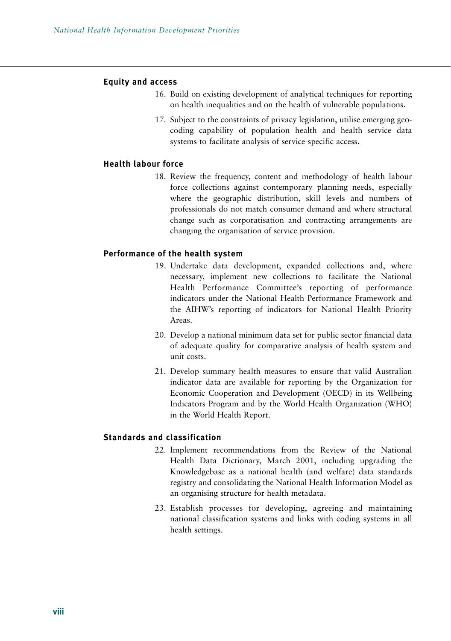#### **Equity and access**

- 16. Build on existing development of analytical techniques for reporting on health inequalities and on the health of vulnerable populations.
- 17. Subject to the constraints of privacy legislation, utilise emerging geocoding capability of population health and health service data systems to facilitate analysis of service-specific access.

#### **Health labour force**

18. Review the frequency, content and methodology of health labour force collections against contemporary planning needs, especially where the geographic distribution, skill levels and numbers of professionals do not match consumer demand and where structural change such as corporatisation and contracting arrangements are changing the organisation of service provision.

#### **Performance of the health system**

- 19. Undertake data development, expanded collections and, where necessary, implement new collections to facilitate the National Health Performance Committee's reporting of performance indicators under the National Health Performance Framework and the AIHW's reporting of indicators for National Health Priority Areas.
- 20. Develop a national minimum data set for public sector financial data of adequate quality for comparative analysis of health system and unit costs.
- 21. Develop summary health measures to ensure that valid Australian indicator data are available for reporting by the Organization for Economic Cooperation and Development (OECD) in its Wellbeing Indicators Program and by the World Health Organization (WHO) in the World Health Report.

#### **Standards and classification**

- 22. Implement recommendations from the Review of the National Health Data Dictionary, March 2001, including upgrading the Knowledgebase as a national health (and welfare) data standards registry and consolidating the National Health Information Model as an organising structure for health metadata.
- 23. Establish processes for developing, agreeing and maintaining national classification systems and links with coding systems in all health settings.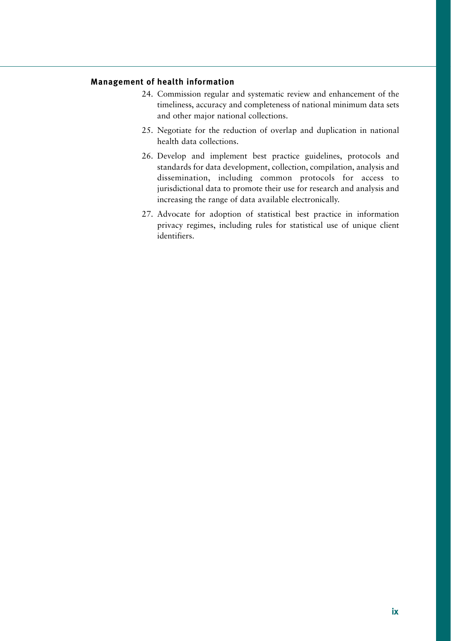#### **Management of health information**

- 24. Commission regular and systematic review and enhancement of the timeliness, accuracy and completeness of national minimum data sets and other major national collections.
- 25. Negotiate for the reduction of overlap and duplication in national health data collections.
- 26. Develop and implement best practice guidelines, protocols and standards for data development, collection, compilation, analysis and dissemination, including common protocols for access to jurisdictional data to promote their use for research and analysis and increasing the range of data available electronically.
- 27. Advocate for adoption of statistical best practice in information privacy regimes, including rules for statistical use of unique client identifiers.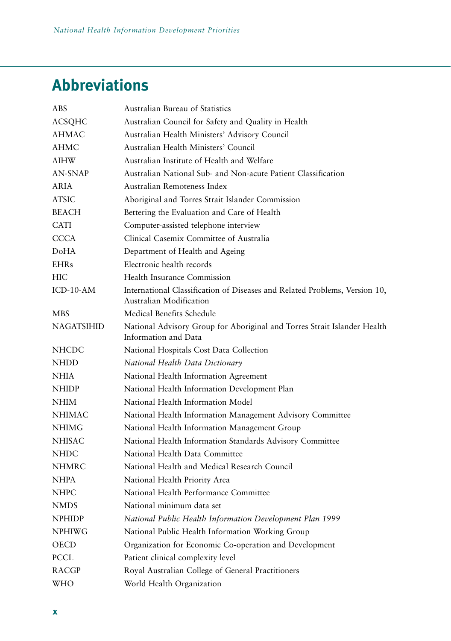# **Abbreviations**

| ABS               | Australian Bureau of Statistics                                                                       |
|-------------------|-------------------------------------------------------------------------------------------------------|
| <b>ACSQHC</b>     | Australian Council for Safety and Quality in Health                                                   |
| <b>AHMAC</b>      | Australian Health Ministers' Advisory Council                                                         |
| AHMC              | Australian Health Ministers' Council                                                                  |
| <b>AIHW</b>       | Australian Institute of Health and Welfare                                                            |
| AN-SNAP           | Australian National Sub- and Non-acute Patient Classification                                         |
| ARIA              | Australian Remoteness Index                                                                           |
| <b>ATSIC</b>      | Aboriginal and Torres Strait Islander Commission                                                      |
| <b>BEACH</b>      | Bettering the Evaluation and Care of Health                                                           |
| <b>CATI</b>       | Computer-assisted telephone interview                                                                 |
| <b>CCCA</b>       | Clinical Casemix Committee of Australia                                                               |
| DoHA              | Department of Health and Ageing                                                                       |
| <b>EHRs</b>       | Electronic health records                                                                             |
| <b>HIC</b>        | Health Insurance Commission                                                                           |
| $ICD-10-AM$       | International Classification of Diseases and Related Problems, Version 10,<br>Australian Modification |
| <b>MBS</b>        | Medical Benefits Schedule                                                                             |
| <b>NAGATSIHID</b> | National Advisory Group for Aboriginal and Torres Strait Islander Health<br>Information and Data      |
| <b>NHCDC</b>      | National Hospitals Cost Data Collection                                                               |
| <b>NHDD</b>       | National Health Data Dictionary                                                                       |
| <b>NHIA</b>       | National Health Information Agreement                                                                 |
| <b>NHIDP</b>      | National Health Information Development Plan                                                          |
| <b>NHIM</b>       | National Health Information Model                                                                     |
| <b>NHIMAC</b>     | National Health Information Management Advisory Committee                                             |
| <b>NHIMG</b>      | National Health Information Management Group                                                          |
| <b>NHISAC</b>     | National Health Information Standards Advisory Committee                                              |
| <b>NHDC</b>       | National Health Data Committee                                                                        |
| <b>NHMRC</b>      | National Health and Medical Research Council                                                          |
| <b>NHPA</b>       | National Health Priority Area                                                                         |
| <b>NHPC</b>       | National Health Performance Committee                                                                 |
| NMDS              | National minimum data set                                                                             |
| <b>NPHIDP</b>     | National Public Health Information Development Plan 1999                                              |
| <b>NPHIWG</b>     | National Public Health Information Working Group                                                      |
| <b>OECD</b>       | Organization for Economic Co-operation and Development                                                |
| PCCL              | Patient clinical complexity level                                                                     |
| <b>RACGP</b>      | Royal Australian College of General Practitioners                                                     |
| WHO               | World Health Organization                                                                             |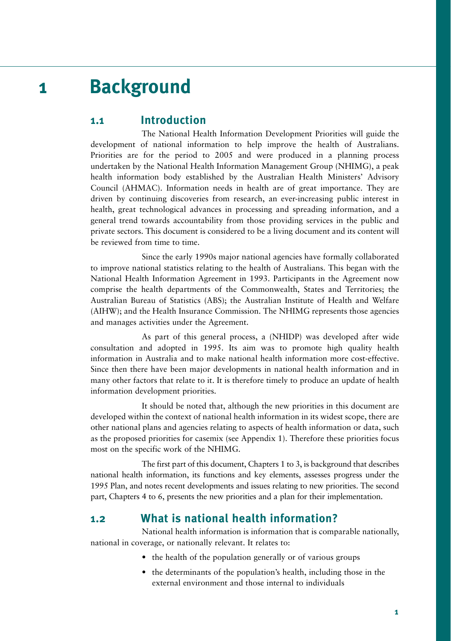# **1 Background**

## **1.1 Introduction**

The National Health Information Development Priorities will guide the development of national information to help improve the health of Australians. Priorities are for the period to 2005 and were produced in a planning process undertaken by the National Health Information Management Group (NHIMG), a peak health information body established by the Australian Health Ministers' Advisory Council (AHMAC). Information needs in health are of great importance. They are driven by continuing discoveries from research, an ever-increasing public interest in health, great technological advances in processing and spreading information, and a general trend towards accountability from those providing services in the public and private sectors. This document is considered to be a living document and its content will be reviewed from time to time.

Since the early 1990s major national agencies have formally collaborated to improve national statistics relating to the health of Australians. This began with the National Health Information Agreement in 1993. Participants in the Agreement now comprise the health departments of the Commonwealth, States and Territories; the Australian Bureau of Statistics (ABS); the Australian Institute of Health and Welfare (AIHW); and the Health Insurance Commission. The NHIMG represents those agencies and manages activities under the Agreement.

As part of this general process, a (NHIDP) was developed after wide consultation and adopted in 1995. Its aim was to promote high quality health information in Australia and to make national health information more cost-effective. Since then there have been major developments in national health information and in many other factors that relate to it. It is therefore timely to produce an update of health information development priorities.

It should be noted that, although the new priorities in this document are developed within the context of national health information in its widest scope, there are other national plans and agencies relating to aspects of health information or data, such as the proposed priorities for casemix (see Appendix 1). Therefore these priorities focus most on the specific work of the NHIMG.

The first part of this document, Chapters 1 to 3, is background that describes national health information, its functions and key elements, assesses progress under the 1995 Plan, and notes recent developments and issues relating to new priorities. The second part, Chapters 4 to 6, presents the new priorities and a plan for their implementation.

# **1.2 What is national health information?**

National health information is information that is comparable nationally, national in coverage, or nationally relevant. It relates to:

- the health of the population generally or of various groups
- the determinants of the population's health, including those in the external environment and those internal to individuals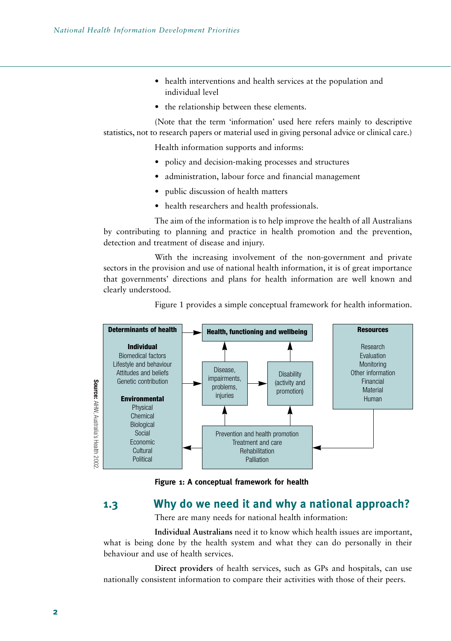- health interventions and health services at the population and individual level
- the relationship between these elements.

(Note that the term 'information' used here refers mainly to descriptive statistics, not to research papers or material used in giving personal advice or clinical care.)

Health information supports and informs:

- policy and decision-making processes and structures
- administration, labour force and financial management
- public discussion of health matters
- health researchers and health professionals.

The aim of the information is to help improve the health of all Australians by contributing to planning and practice in health promotion and the prevention, detection and treatment of disease and injury.

With the increasing involvement of the non-government and private sectors in the provision and use of national health information, it is of great importance that governments' directions and plans for health information are well known and clearly understood.



Figure 1 provides a simple conceptual framework for health information.

**Figure 1: A conceptual framework for health**

# **1.3 Why do we need it and why a national approach?**

There are many needs for national health information:

**Individual Australians** need it to know which health issues are important, what is being done by the health system and what they can do personally in their behaviour and use of health services.

**Direct providers** of health services, such as GPs and hospitals, can use nationally consistent information to compare their activities with those of their peers.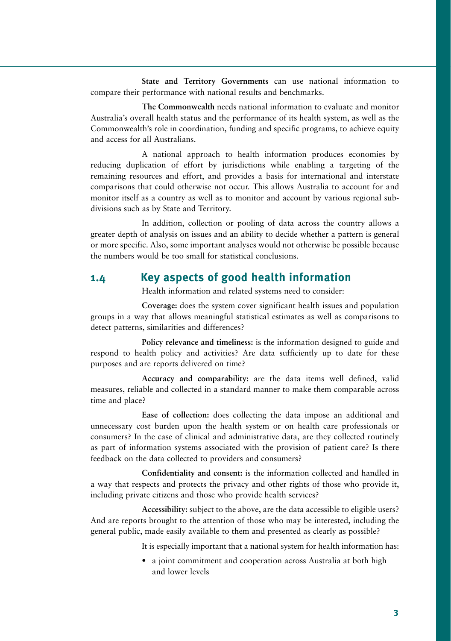**State and Territory Governments** can use national information to compare their performance with national results and benchmarks.

**The Commonwealth** needs national information to evaluate and monitor Australia's overall health status and the performance of its health system, as well as the Commonwealth's role in coordination, funding and specific programs, to achieve equity and access for all Australians.

A national approach to health information produces economies by reducing duplication of effort by jurisdictions while enabling a targeting of the remaining resources and effort, and provides a basis for international and interstate comparisons that could otherwise not occur. This allows Australia to account for and monitor itself as a country as well as to monitor and account by various regional subdivisions such as by State and Territory.

In addition, collection or pooling of data across the country allows a greater depth of analysis on issues and an ability to decide whether a pattern is general or more specific. Also, some important analyses would not otherwise be possible because the numbers would be too small for statistical conclusions.

# **1.4 Key aspects of good health information**

Health information and related systems need to consider:

**Coverage:** does the system cover significant health issues and population groups in a way that allows meaningful statistical estimates as well as comparisons to detect patterns, similarities and differences?

**Policy relevance and timeliness:** is the information designed to guide and respond to health policy and activities? Are data sufficiently up to date for these purposes and are reports delivered on time?

**Accuracy and comparability:** are the data items well defined, valid measures, reliable and collected in a standard manner to make them comparable across time and place?

**Ease of collection:** does collecting the data impose an additional and unnecessary cost burden upon the health system or on health care professionals or consumers? In the case of clinical and administrative data, are they collected routinely as part of information systems associated with the provision of patient care? Is there feedback on the data collected to providers and consumers?

**Confidentiality and consent:** is the information collected and handled in a way that respects and protects the privacy and other rights of those who provide it, including private citizens and those who provide health services?

**Accessibility:** subject to the above, are the data accessible to eligible users? And are reports brought to the attention of those who may be interested, including the general public, made easily available to them and presented as clearly as possible?

It is especially important that a national system for health information has:

• a joint commitment and cooperation across Australia at both high and lower levels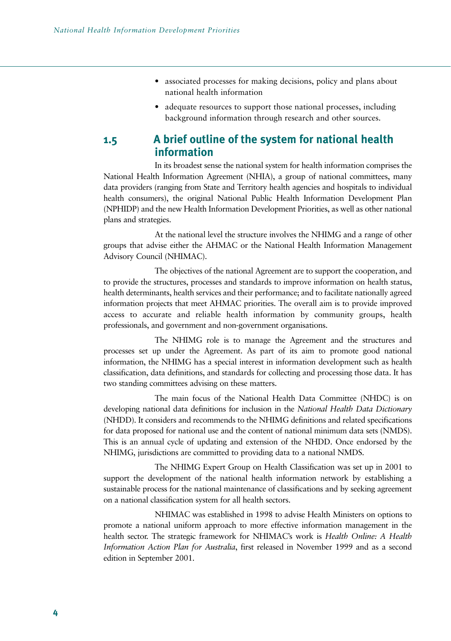- associated processes for making decisions, policy and plans about national health information
- adequate resources to support those national processes, including background information through research and other sources.

### **1.5 A brief outline of the system for national health information**

In its broadest sense the national system for health information comprises the National Health Information Agreement (NHIA), a group of national committees, many data providers (ranging from State and Territory health agencies and hospitals to individual health consumers), the original National Public Health Information Development Plan (NPHIDP) and the new Health Information Development Priorities, as well as other national plans and strategies.

At the national level the structure involves the NHIMG and a range of other groups that advise either the AHMAC or the National Health Information Management Advisory Council (NHIMAC).

The objectives of the national Agreement are to support the cooperation, and to provide the structures, processes and standards to improve information on health status, health determinants, health services and their performance; and to facilitate nationally agreed information projects that meet AHMAC priorities. The overall aim is to provide improved access to accurate and reliable health information by community groups, health professionals, and government and non-government organisations.

The NHIMG role is to manage the Agreement and the structures and processes set up under the Agreement. As part of its aim to promote good national information, the NHIMG has a special interest in information development such as health classification, data definitions, and standards for collecting and processing those data. It has two standing committees advising on these matters.

The main focus of the National Health Data Committee (NHDC) is on developing national data definitions for inclusion in the *National Health Data Dictionary* (NHDD). It considers and recommends to the NHIMG definitions and related specifications for data proposed for national use and the content of national minimum data sets (NMDS). This is an annual cycle of updating and extension of the NHDD. Once endorsed by the NHIMG, jurisdictions are committed to providing data to a national NMDS.

The NHIMG Expert Group on Health Classification was set up in 2001 to support the development of the national health information network by establishing a sustainable process for the national maintenance of classifications and by seeking agreement on a national classification system for all health sectors.

NHIMAC was established in 1998 to advise Health Ministers on options to promote a national uniform approach to more effective information management in the health sector. The strategic framework for NHIMAC's work is *Health Online: A Health Information Action Plan for Australia*, first released in November 1999 and as a second edition in September 2001.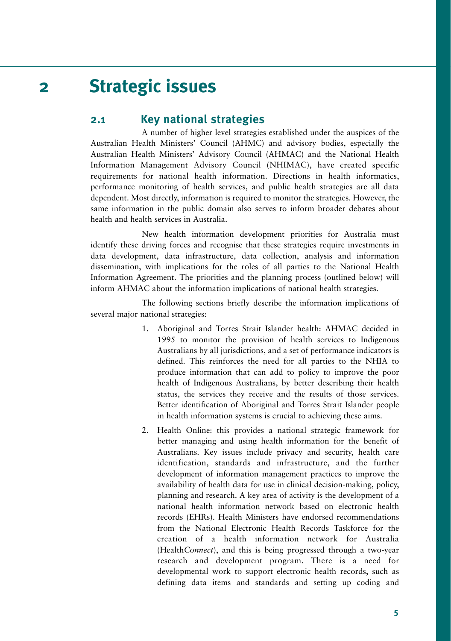# **2 Strategic issues**

### **2.1 Key national strategies**

A number of higher level strategies established under the auspices of the Australian Health Ministers' Council (AHMC) and advisory bodies, especially the Australian Health Ministers' Advisory Council (AHMAC) and the National Health Information Management Advisory Council (NHIMAC), have created specific requirements for national health information. Directions in health informatics, performance monitoring of health services, and public health strategies are all data dependent. Most directly, information is required to monitor the strategies. However, the same information in the public domain also serves to inform broader debates about health and health services in Australia.

New health information development priorities for Australia must identify these driving forces and recognise that these strategies require investments in data development, data infrastructure, data collection, analysis and information dissemination, with implications for the roles of all parties to the National Health Information Agreement. The priorities and the planning process (outlined below) will inform AHMAC about the information implications of national health strategies.

The following sections briefly describe the information implications of several major national strategies:

- 1. Aboriginal and Torres Strait Islander health: AHMAC decided in 1995 to monitor the provision of health services to Indigenous Australians by all jurisdictions, and a set of performance indicators is defined. This reinforces the need for all parties to the NHIA to produce information that can add to policy to improve the poor health of Indigenous Australians, by better describing their health status, the services they receive and the results of those services. Better identification of Aboriginal and Torres Strait Islander people in health information systems is crucial to achieving these aims.
- 2. Health Online: this provides a national strategic framework for better managing and using health information for the benefit of Australians. Key issues include privacy and security, health care identification, standards and infrastructure, and the further development of information management practices to improve the availability of health data for use in clinical decision-making, policy, planning and research. A key area of activity is the development of a national health information network based on electronic health records (EHRs). Health Ministers have endorsed recommendations from the National Electronic Health Records Taskforce for the creation of a health information network for Australia (Health*Connect*), and this is being progressed through a two-year research and development program. There is a need for developmental work to support electronic health records, such as defining data items and standards and setting up coding and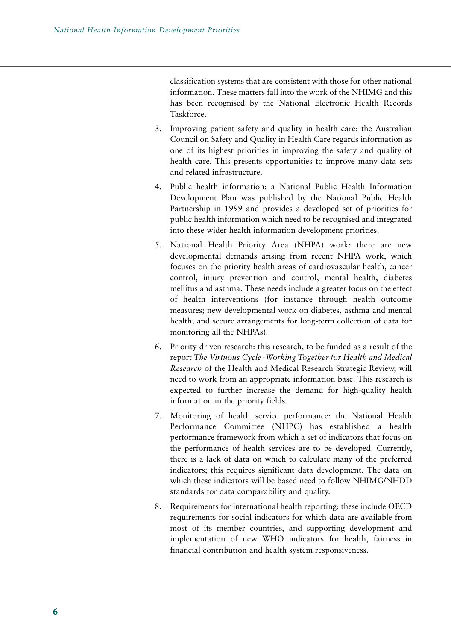classification systems that are consistent with those for other national information. These matters fall into the work of the NHIMG and this has been recognised by the National Electronic Health Records Taskforce.

- 3. Improving patient safety and quality in health care: the Australian Council on Safety and Quality in Health Care regards information as one of its highest priorities in improving the safety and quality of health care. This presents opportunities to improve many data sets and related infrastructure.
- 4. Public health information: a National Public Health Information Development Plan was published by the National Public Health Partnership in 1999 and provides a developed set of priorities for public health information which need to be recognised and integrated into these wider health information development priorities.
- 5. National Health Priority Area (NHPA) work: there are new developmental demands arising from recent NHPA work, which focuses on the priority health areas of cardiovascular health, cancer control, injury prevention and control, mental health, diabetes mellitus and asthma. These needs include a greater focus on the effect of health interventions (for instance through health outcome measures; new developmental work on diabetes, asthma and mental health; and secure arrangements for long-term collection of data for monitoring all the NHPAs).
- 6. Priority driven research: this research, to be funded as a result of the report *The Virtuous Cycle- Working Together for Health and Medical Research* of the Health and Medical Research Strategic Review, will need to work from an appropriate information base. This research is expected to further increase the demand for high-quality health information in the priority fields.
- 7. Monitoring of health service performance: the National Health Performance Committee (NHPC) has established a health performance framework from which a set of indicators that focus on the performance of health services are to be developed. Currently, there is a lack of data on which to calculate many of the preferred indicators; this requires significant data development. The data on which these indicators will be based need to follow NHIMG/NHDD standards for data comparability and quality.
- 8. Requirements for international health reporting: these include OECD requirements for social indicators for which data are available from most of its member countries, and supporting development and implementation of new WHO indicators for health, fairness in financial contribution and health system responsiveness.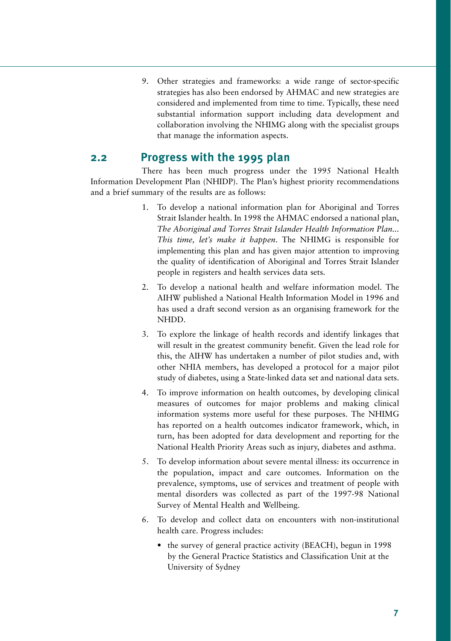9. Other strategies and frameworks: a wide range of sector-specific strategies has also been endorsed by AHMAC and new strategies are considered and implemented from time to time. Typically, these need substantial information support including data development and collaboration involving the NHIMG along with the specialist groups that manage the information aspects.

### **2.2 Progress with the 1995 plan**

There has been much progress under the 1995 National Health Information Development Plan (NHIDP). The Plan's highest priority recommendations and a brief summary of the results are as follows:

- 1. To develop a national information plan for Aboriginal and Torres Strait Islander health. In 1998 the AHMAC endorsed a national plan, *The Aboriginal and Torres Strait Islander Health Information Plan... This time, let's make it happen*. The NHIMG is responsible for implementing this plan and has given major attention to improving the quality of identification of Aboriginal and Torres Strait Islander people in registers and health services data sets.
- 2. To develop a national health and welfare information model. The AIHW published a National Health Information Model in 1996 and has used a draft second version as an organising framework for the NHDD.
- 3. To explore the linkage of health records and identify linkages that will result in the greatest community benefit. Given the lead role for this, the AIHW has undertaken a number of pilot studies and, with other NHIA members, has developed a protocol for a major pilot study of diabetes, using a State-linked data set and national data sets.
- 4. To improve information on health outcomes, by developing clinical measures of outcomes for major problems and making clinical information systems more useful for these purposes. The NHIMG has reported on a health outcomes indicator framework, which, in turn, has been adopted for data development and reporting for the National Health Priority Areas such as injury, diabetes and asthma.
- 5. To develop information about severe mental illness: its occurrence in the population, impact and care outcomes. Information on the prevalence, symptoms, use of services and treatment of people with mental disorders was collected as part of the 1997-98 National Survey of Mental Health and Wellbeing.
- 6. To develop and collect data on encounters with non-institutional health care. Progress includes:
	- the survey of general practice activity (BEACH), begun in 1998 by the General Practice Statistics and Classification Unit at the University of Sydney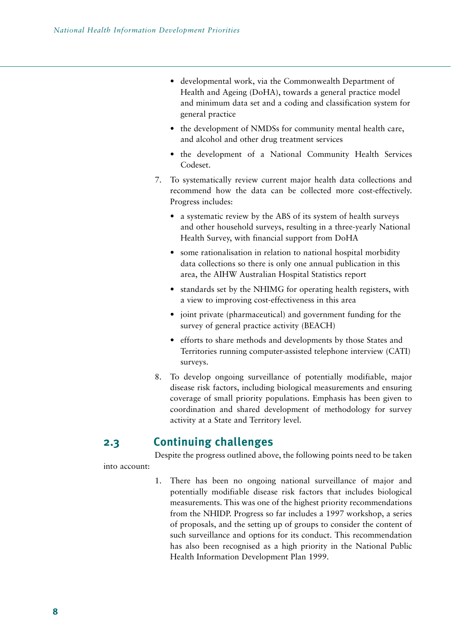- developmental work, via the Commonwealth Department of Health and Ageing (DoHA), towards a general practice model and minimum data set and a coding and classification system for general practice
- the development of NMDSs for community mental health care, and alcohol and other drug treatment services
- the development of a National Community Health Services Codeset.
- 7. To systematically review current major health data collections and recommend how the data can be collected more cost-effectively. Progress includes:
	- a systematic review by the ABS of its system of health surveys and other household surveys, resulting in a three-yearly National Health Survey, with financial support from DoHA
	- some rationalisation in relation to national hospital morbidity data collections so there is only one annual publication in this area, the AIHW Australian Hospital Statistics report
	- standards set by the NHIMG for operating health registers, with a view to improving cost-effectiveness in this area
	- joint private (pharmaceutical) and government funding for the survey of general practice activity (BEACH)
	- efforts to share methods and developments by those States and Territories running computer-assisted telephone interview (CATI) surveys.
- 8. To develop ongoing surveillance of potentially modifiable, major disease risk factors, including biological measurements and ensuring coverage of small priority populations. Emphasis has been given to coordination and shared development of methodology for survey activity at a State and Territory level.

# **2.3 Continuing challenges**

Despite the progress outlined above, the following points need to be taken into account:

> 1. There has been no ongoing national surveillance of major and potentially modifiable disease risk factors that includes biological measurements. This was one of the highest priority recommendations from the NHIDP. Progress so far includes a 1997 workshop, a series of proposals, and the setting up of groups to consider the content of such surveillance and options for its conduct. This recommendation has also been recognised as a high priority in the National Public Health Information Development Plan 1999.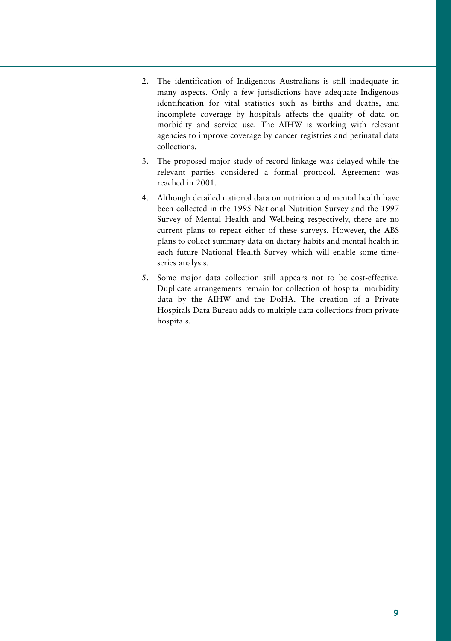- 2. The identification of Indigenous Australians is still inadequate in many aspects. Only a few jurisdictions have adequate Indigenous identification for vital statistics such as births and deaths, and incomplete coverage by hospitals affects the quality of data on morbidity and service use. The AIHW is working with relevant agencies to improve coverage by cancer registries and perinatal data collections.
- 3. The proposed major study of record linkage was delayed while the relevant parties considered a formal protocol. Agreement was reached in 2001.
- 4. Although detailed national data on nutrition and mental health have been collected in the 1995 National Nutrition Survey and the 1997 Survey of Mental Health and Wellbeing respectively, there are no current plans to repeat either of these surveys. However, the ABS plans to collect summary data on dietary habits and mental health in each future National Health Survey which will enable some timeseries analysis.
- 5. Some major data collection still appears not to be cost-effective. Duplicate arrangements remain for collection of hospital morbidity data by the AIHW and the DoHA. The creation of a Private Hospitals Data Bureau adds to multiple data collections from private hospitals.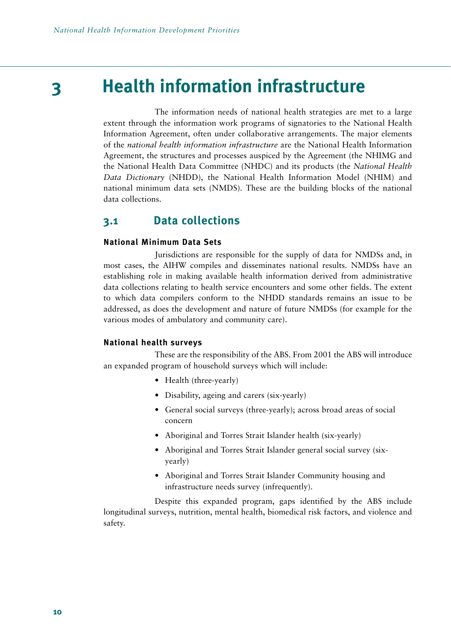# **3 Health information infrastructure**

The information needs of national health strategies are met to a large extent through the information work programs of signatories to the National Health Information Agreement, often under collaborative arrangements. The major elements of the *national health information infrastructure* are the National Health Information Agreement, the structures and processes auspiced by the Agreement (the NHIMG and the National Health Data Committee (NHDC) and its products (the *National Health Data Dictionary* (NHDD), the National Health Information Model (NHIM) and national minimum data sets (NMDS). These are the building blocks of the national data collections.

# **3.1 Data collections**

#### **National Minimum Data Sets**

Jurisdictions are responsible for the supply of data for NMDSs and, in most cases, the AIHW compiles and disseminates national results. NMDSs have an establishing role in making available health information derived from administrative data collections relating to health service encounters and some other fields. The extent to which data compilers conform to the NHDD standards remains an issue to be addressed, as does the development and nature of future NMDSs (for example for the various modes of ambulatory and community care).

#### **National health surveys**

These are the responsibility of the ABS. From 2001 the ABS will introduce an expanded program of household surveys which will include:

- Health (three-yearly)
- Disability, ageing and carers (six-yearly)
- General social surveys (three-yearly); across broad areas of social concern
- Aboriginal and Torres Strait Islander health (six-yearly)
- Aboriginal and Torres Strait Islander general social survey (sixyearly)
- Aboriginal and Torres Strait Islander Community housing and infrastructure needs survey (infrequently).

Despite this expanded program, gaps identified by the ABS include longitudinal surveys, nutrition, mental health, biomedical risk factors, and violence and safety.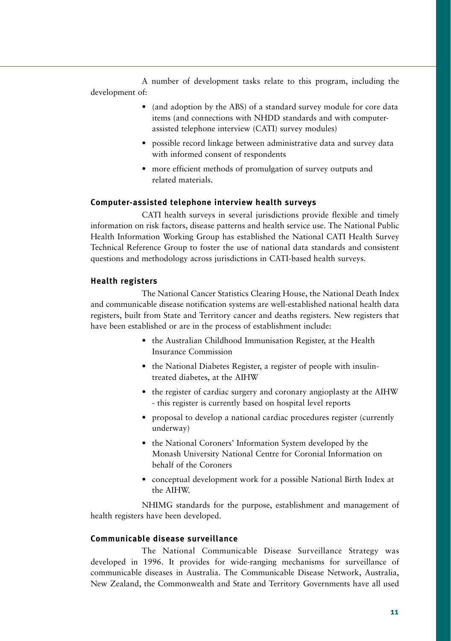A number of development tasks relate to this program, including the development of:

- (and adoption by the ABS) of a standard survey module for core data items (and connections with NHDD standards and with computerassisted telephone interview (CATI) survey modules)
- possible record linkage between administrative data and survey data with informed consent of respondents
- more efficient methods of promulgation of survey outputs and related materials.

#### **Computer-assisted telephone interview health surveys**

CATI health surveys in several jurisdictions provide flexible and timely information on risk factors, disease patterns and health service use. The National Public Health Information Working Group has established the National CATI Health Survey Technical Reference Group to foster the use of national data standards and consistent questions and methodology across jurisdictions in CATI-based health surveys.

#### **Health registers**

The National Cancer Statistics Clearing House, the National Death Index and communicable disease notification systems are well-established national health data registers, built from State and Territory cancer and deaths registers. New registers that have been established or are in the process of establishment include:

- the Australian Childhood Immunisation Register, at the Health Insurance Commission
- the National Diabetes Register, a register of people with insulintreated diabetes, at the AIHW
- the register of cardiac surgery and coronary angioplasty at the AIHW - this register is currently based on hospital level reports
- proposal to develop a national cardiac procedures register (currently underway)
- the National Coroners' Information System developed by the Monash University National Centre for Coronial Information on behalf of the Coroners
- conceptual development work for a possible National Birth Index at the AIHW.

NHIMG standards for the purpose, establishment and management of health registers have been developed.

#### **Communicable disease surveillance**

The National Communicable Disease Surveillance Strategy was developed in 1996. It provides for wide-ranging mechanisms for surveillance of communicable diseases in Australia. The Communicable Disease Network, Australia, New Zealand, the Commonwealth and State and Territory Governments have all used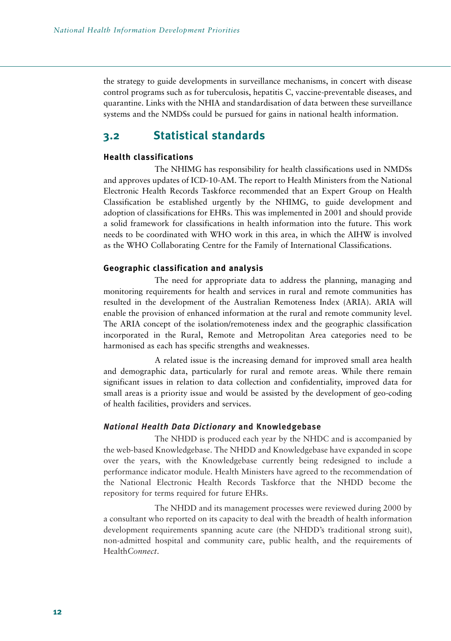the strategy to guide developments in surveillance mechanisms, in concert with disease control programs such as for tuberculosis, hepatitis C, vaccine-preventable diseases, and quarantine. Links with the NHIA and standardisation of data between these surveillance systems and the NMDSs could be pursued for gains in national health information.

# **3.2 Statistical standards**

#### **Health classifications**

The NHIMG has responsibility for health classifications used in NMDSs and approves updates of ICD-10-AM. The report to Health Ministers from the National Electronic Health Records Taskforce recommended that an Expert Group on Health Classification be established urgently by the NHIMG, to guide development and adoption of classifications for EHRs. This was implemented in 2001 and should provide a solid framework for classifications in health information into the future. This work needs to be coordinated with WHO work in this area, in which the AIHW is involved as the WHO Collaborating Centre for the Family of International Classifications.

#### **Geographic classification and analysis**

The need for appropriate data to address the planning, managing and monitoring requirements for health and services in rural and remote communities has resulted in the development of the Australian Remoteness Index (ARIA). ARIA will enable the provision of enhanced information at the rural and remote community level. The ARIA concept of the isolation/remoteness index and the geographic classification incorporated in the Rural, Remote and Metropolitan Area categories need to be harmonised as each has specific strengths and weaknesses.

A related issue is the increasing demand for improved small area health and demographic data, particularly for rural and remote areas. While there remain significant issues in relation to data collection and confidentiality, improved data for small areas is a priority issue and would be assisted by the development of geo-coding of health facilities, providers and services.

#### *National Health Data Dictionary* **and Knowledgebase**

The NHDD is produced each year by the NHDC and is accompanied by the web-based Knowledgebase. The NHDD and Knowledgebase have expanded in scope over the years, with the Knowledgebase currently being redesigned to include a performance indicator module. Health Ministers have agreed to the recommendation of the National Electronic Health Records Taskforce that the NHDD become the repository for terms required for future EHRs.

The NHDD and its management processes were reviewed during 2000 by a consultant who reported on its capacity to deal with the breadth of health information development requirements spanning acute care (the NHDD's traditional strong suit), non-admitted hospital and community care, public health, and the requirements of Health*Connect*.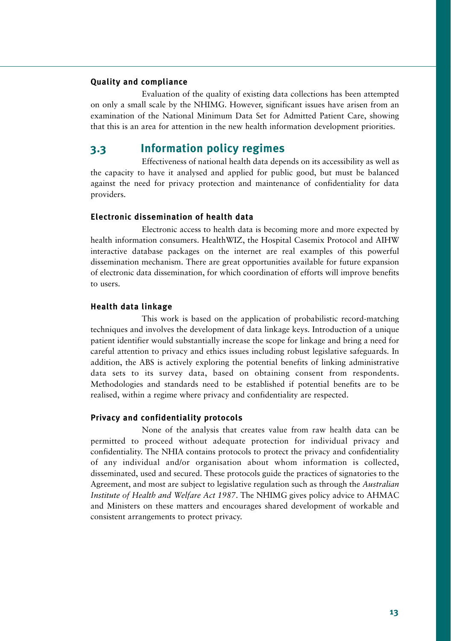#### **Quality and compliance**

Evaluation of the quality of existing data collections has been attempted on only a small scale by the NHIMG. However, significant issues have arisen from an examination of the National Minimum Data Set for Admitted Patient Care, showing that this is an area for attention in the new health information development priorities.

# **3.3 Information policy regimes**

Effectiveness of national health data depends on its accessibility as well as the capacity to have it analysed and applied for public good, but must be balanced against the need for privacy protection and maintenance of confidentiality for data providers.

#### **Electronic dissemination of health data**

Electronic access to health data is becoming more and more expected by health information consumers. HealthWIZ, the Hospital Casemix Protocol and AIHW interactive database packages on the internet are real examples of this powerful dissemination mechanism. There are great opportunities available for future expansion of electronic data dissemination, for which coordination of efforts will improve benefits to users.

#### **Health data linkage**

This work is based on the application of probabilistic record-matching techniques and involves the development of data linkage keys. Introduction of a unique patient identifier would substantially increase the scope for linkage and bring a need for careful attention to privacy and ethics issues including robust legislative safeguards. In addition, the ABS is actively exploring the potential benefits of linking administrative data sets to its survey data, based on obtaining consent from respondents. Methodologies and standards need to be established if potential benefits are to be realised, within a regime where privacy and confidentiality are respected.

#### **Privacy and confidentiality protocols**

None of the analysis that creates value from raw health data can be permitted to proceed without adequate protection for individual privacy and confidentiality. The NHIA contains protocols to protect the privacy and confidentiality of any individual and/or organisation about whom information is collected, disseminated, used and secured. These protocols guide the practices of signatories to the Agreement, and most are subject to legislative regulation such as through the *Australian Institute of Health and Welfare Act 1987*. The NHIMG gives policy advice to AHMAC and Ministers on these matters and encourages shared development of workable and consistent arrangements to protect privacy.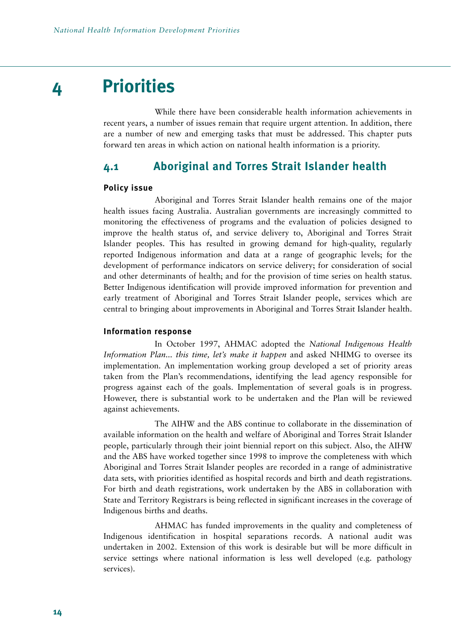# **4 Priorities**

While there have been considerable health information achievements in recent years, a number of issues remain that require urgent attention. In addition, there are a number of new and emerging tasks that must be addressed. This chapter puts forward ten areas in which action on national health information is a priority.

### **4.1 Aboriginal and Torres Strait Islander health**

#### **Policy issue**

Aboriginal and Torres Strait Islander health remains one of the major health issues facing Australia. Australian governments are increasingly committed to monitoring the effectiveness of programs and the evaluation of policies designed to improve the health status of, and service delivery to, Aboriginal and Torres Strait Islander peoples. This has resulted in growing demand for high-quality, regularly reported Indigenous information and data at a range of geographic levels; for the development of performance indicators on service delivery; for consideration of social and other determinants of health; and for the provision of time series on health status. Better Indigenous identification will provide improved information for prevention and early treatment of Aboriginal and Torres Strait Islander people, services which are central to bringing about improvements in Aboriginal and Torres Strait Islander health.

#### **Information response**

In October 1997, AHMAC adopted the *National Indigenous Health Information Plan... this time, let's make it happen* and asked NHIMG to oversee its implementation. An implementation working group developed a set of priority areas taken from the Plan's recommendations, identifying the lead agency responsible for progress against each of the goals. Implementation of several goals is in progress. However, there is substantial work to be undertaken and the Plan will be reviewed against achievements.

The AIHW and the ABS continue to collaborate in the dissemination of available information on the health and welfare of Aboriginal and Torres Strait Islander people, particularly through their joint biennial report on this subject. Also, the AIHW and the ABS have worked together since 1998 to improve the completeness with which Aboriginal and Torres Strait Islander peoples are recorded in a range of administrative data sets, with priorities identified as hospital records and birth and death registrations. For birth and death registrations, work undertaken by the ABS in collaboration with State and Territory Registrars is being reflected in significant increases in the coverage of Indigenous births and deaths.

AHMAC has funded improvements in the quality and completeness of Indigenous identification in hospital separations records. A national audit was undertaken in 2002. Extension of this work is desirable but will be more difficult in service settings where national information is less well developed (e.g. pathology services).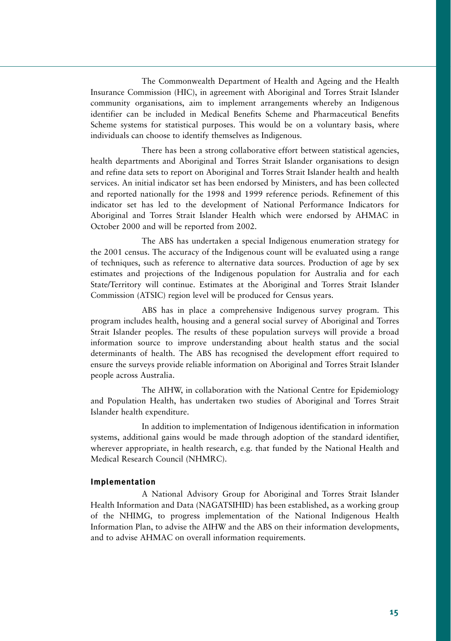The Commonwealth Department of Health and Ageing and the Health Insurance Commission (HIC), in agreement with Aboriginal and Torres Strait Islander community organisations, aim to implement arrangements whereby an Indigenous identifier can be included in Medical Benefits Scheme and Pharmaceutical Benefits Scheme systems for statistical purposes. This would be on a voluntary basis, where individuals can choose to identify themselves as Indigenous.

There has been a strong collaborative effort between statistical agencies, health departments and Aboriginal and Torres Strait Islander organisations to design and refine data sets to report on Aboriginal and Torres Strait Islander health and health services. An initial indicator set has been endorsed by Ministers, and has been collected and reported nationally for the 1998 and 1999 reference periods. Refinement of this indicator set has led to the development of National Performance Indicators for Aboriginal and Torres Strait Islander Health which were endorsed by AHMAC in October 2000 and will be reported from 2002.

The ABS has undertaken a special Indigenous enumeration strategy for the 2001 census. The accuracy of the Indigenous count will be evaluated using a range of techniques, such as reference to alternative data sources. Production of age by sex estimates and projections of the Indigenous population for Australia and for each State/Territory will continue. Estimates at the Aboriginal and Torres Strait Islander Commission (ATSIC) region level will be produced for Census years.

ABS has in place a comprehensive Indigenous survey program. This program includes health, housing and a general social survey of Aboriginal and Torres Strait Islander peoples. The results of these population surveys will provide a broad information source to improve understanding about health status and the social determinants of health. The ABS has recognised the development effort required to ensure the surveys provide reliable information on Aboriginal and Torres Strait Islander people across Australia.

The AIHW, in collaboration with the National Centre for Epidemiology and Population Health, has undertaken two studies of Aboriginal and Torres Strait Islander health expenditure.

In addition to implementation of Indigenous identification in information systems, additional gains would be made through adoption of the standard identifier, wherever appropriate, in health research, e.g. that funded by the National Health and Medical Research Council (NHMRC).

#### **Implementation**

A National Advisory Group for Aboriginal and Torres Strait Islander Health Information and Data (NAGATSIHID) has been established, as a working group of the NHIMG, to progress implementation of the National Indigenous Health Information Plan, to advise the AIHW and the ABS on their information developments, and to advise AHMAC on overall information requirements.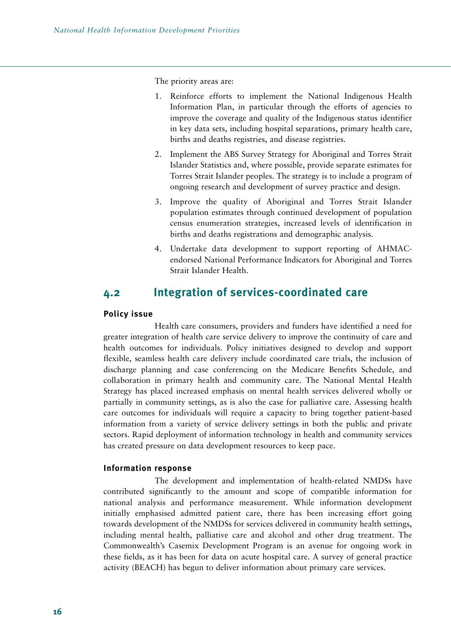The priority areas are:

- 1. Reinforce efforts to implement the National Indigenous Health Information Plan, in particular through the efforts of agencies to improve the coverage and quality of the Indigenous status identifier in key data sets, including hospital separations, primary health care, births and deaths registries, and disease registries.
- 2. Implement the ABS Survey Strategy for Aboriginal and Torres Strait Islander Statistics and, where possible, provide separate estimates for Torres Strait Islander peoples. The strategy is to include a program of ongoing research and development of survey practice and design.
- 3. Improve the quality of Aboriginal and Torres Strait Islander population estimates through continued development of population census enumeration strategies, increased levels of identification in births and deaths registrations and demographic analysis.
- 4. Undertake data development to support reporting of AHMACendorsed National Performance Indicators for Aboriginal and Torres Strait Islander Health.

# **4.2 Integration of services-coordinated care**

#### **Policy issue**

Health care consumers, providers and funders have identified a need for greater integration of health care service delivery to improve the continuity of care and health outcomes for individuals. Policy initiatives designed to develop and support flexible, seamless health care delivery include coordinated care trials, the inclusion of discharge planning and case conferencing on the Medicare Benefits Schedule, and collaboration in primary health and community care. The National Mental Health Strategy has placed increased emphasis on mental health services delivered wholly or partially in community settings, as is also the case for palliative care. Assessing health care outcomes for individuals will require a capacity to bring together patient-based information from a variety of service delivery settings in both the public and private sectors. Rapid deployment of information technology in health and community services has created pressure on data development resources to keep pace.

#### **Information response**

The development and implementation of health-related NMDSs have contributed significantly to the amount and scope of compatible information for national analysis and performance measurement. While information development initially emphasised admitted patient care, there has been increasing effort going towards development of the NMDSs for services delivered in community health settings, including mental health, palliative care and alcohol and other drug treatment. The Commonwealth's Casemix Development Program is an avenue for ongoing work in these fields, as it has been for data on acute hospital care. A survey of general practice activity (BEACH) has begun to deliver information about primary care services.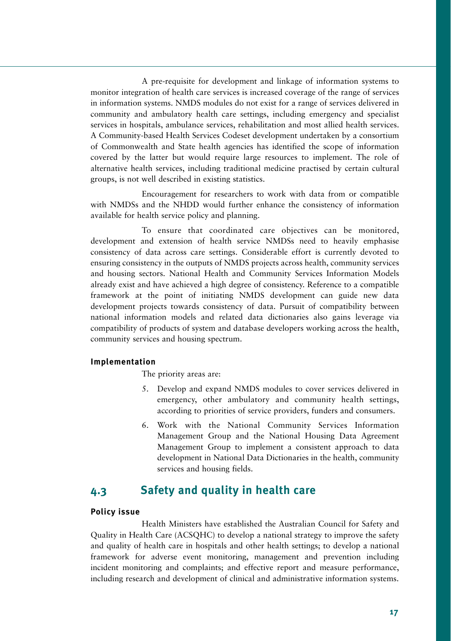A pre-requisite for development and linkage of information systems to monitor integration of health care services is increased coverage of the range of services in information systems. NMDS modules do not exist for a range of services delivered in community and ambulatory health care settings, including emergency and specialist services in hospitals, ambulance services, rehabilitation and most allied health services. A Community-based Health Services Codeset development undertaken by a consortium of Commonwealth and State health agencies has identified the scope of information covered by the latter but would require large resources to implement. The role of alternative health services, including traditional medicine practised by certain cultural groups, is not well described in existing statistics.

Encouragement for researchers to work with data from or compatible with NMDSs and the NHDD would further enhance the consistency of information available for health service policy and planning.

To ensure that coordinated care objectives can be monitored, development and extension of health service NMDSs need to heavily emphasise consistency of data across care settings. Considerable effort is currently devoted to ensuring consistency in the outputs of NMDS projects across health, community services and housing sectors. National Health and Community Services Information Models already exist and have achieved a high degree of consistency. Reference to a compatible framework at the point of initiating NMDS development can guide new data development projects towards consistency of data. Pursuit of compatibility between national information models and related data dictionaries also gains leverage via compatibility of products of system and database developers working across the health, community services and housing spectrum.

#### **Implementation**

The priority areas are:

- 5. Develop and expand NMDS modules to cover services delivered in emergency, other ambulatory and community health settings, according to priorities of service providers, funders and consumers.
- 6. Work with the National Community Services Information Management Group and the National Housing Data Agreement Management Group to implement a consistent approach to data development in National Data Dictionaries in the health, community services and housing fields.

# **4.3 Safety and quality in health care**

#### **Policy issue**

Health Ministers have established the Australian Council for Safety and Quality in Health Care (ACSQHC) to develop a national strategy to improve the safety and quality of health care in hospitals and other health settings; to develop a national framework for adverse event monitoring, management and prevention including incident monitoring and complaints; and effective report and measure performance, including research and development of clinical and administrative information systems.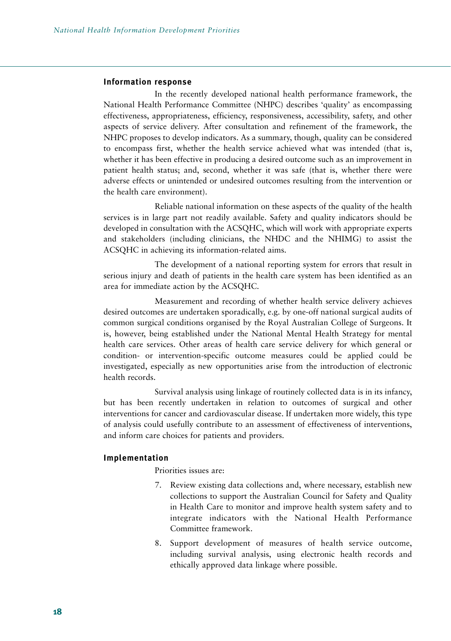#### **Information response**

In the recently developed national health performance framework, the National Health Performance Committee (NHPC) describes 'quality' as encompassing effectiveness, appropriateness, efficiency, responsiveness, accessibility, safety, and other aspects of service delivery. After consultation and refinement of the framework, the NHPC proposes to develop indicators. As a summary, though, quality can be considered to encompass first, whether the health service achieved what was intended (that is, whether it has been effective in producing a desired outcome such as an improvement in patient health status; and, second, whether it was safe (that is, whether there were adverse effects or unintended or undesired outcomes resulting from the intervention or the health care environment).

Reliable national information on these aspects of the quality of the health services is in large part not readily available. Safety and quality indicators should be developed in consultation with the ACSQHC, which will work with appropriate experts and stakeholders (including clinicians, the NHDC and the NHIMG) to assist the ACSQHC in achieving its information-related aims.

The development of a national reporting system for errors that result in serious injury and death of patients in the health care system has been identified as an area for immediate action by the ACSQHC.

Measurement and recording of whether health service delivery achieves desired outcomes are undertaken sporadically, e.g. by one-off national surgical audits of common surgical conditions organised by the Royal Australian College of Surgeons. It is, however, being established under the National Mental Health Strategy for mental health care services. Other areas of health care service delivery for which general or condition- or intervention-specific outcome measures could be applied could be investigated, especially as new opportunities arise from the introduction of electronic health records.

Survival analysis using linkage of routinely collected data is in its infancy, but has been recently undertaken in relation to outcomes of surgical and other interventions for cancer and cardiovascular disease. If undertaken more widely, this type of analysis could usefully contribute to an assessment of effectiveness of interventions, and inform care choices for patients and providers.

#### **Implementation**

Priorities issues are:

- 7. Review existing data collections and, where necessary, establish new collections to support the Australian Council for Safety and Quality in Health Care to monitor and improve health system safety and to integrate indicators with the National Health Performance Committee framework.
- 8. Support development of measures of health service outcome, including survival analysis, using electronic health records and ethically approved data linkage where possible.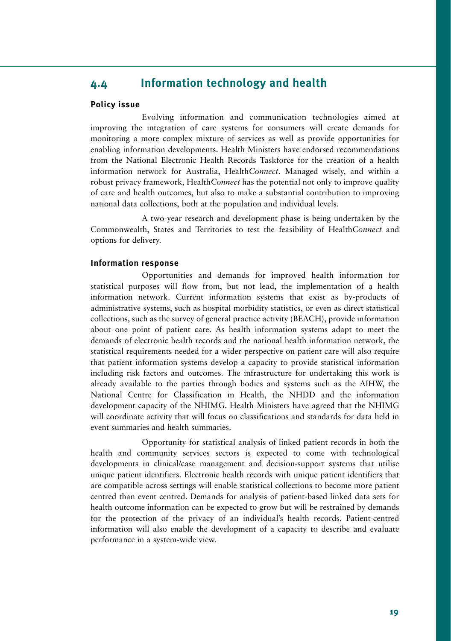# **4.4 Information technology and health**

#### **Policy issue**

Evolving information and communication technologies aimed at improving the integration of care systems for consumers will create demands for monitoring a more complex mixture of services as well as provide opportunities for enabling information developments. Health Ministers have endorsed recommendations from the National Electronic Health Records Taskforce for the creation of a health information network for Australia, Health*Connect*. Managed wisely, and within a robust privacy framework, Health*Connect* has the potential not only to improve quality of care and health outcomes, but also to make a substantial contribution to improving national data collections, both at the population and individual levels.

A two-year research and development phase is being undertaken by the Commonwealth, States and Territories to test the feasibility of Health*Connect* and options for delivery.

#### **Information response**

Opportunities and demands for improved health information for statistical purposes will flow from, but not lead, the implementation of a health information network. Current information systems that exist as by-products of administrative systems, such as hospital morbidity statistics, or even as direct statistical collections, such as the survey of general practice activity (BEACH), provide information about one point of patient care. As health information systems adapt to meet the demands of electronic health records and the national health information network, the statistical requirements needed for a wider perspective on patient care will also require that patient information systems develop a capacity to provide statistical information including risk factors and outcomes. The infrastructure for undertaking this work is already available to the parties through bodies and systems such as the AIHW, the National Centre for Classification in Health, the NHDD and the information development capacity of the NHIMG. Health Ministers have agreed that the NHIMG will coordinate activity that will focus on classifications and standards for data held in event summaries and health summaries.

Opportunity for statistical analysis of linked patient records in both the health and community services sectors is expected to come with technological developments in clinical/case management and decision-support systems that utilise unique patient identifiers. Electronic health records with unique patient identifiers that are compatible across settings will enable statistical collections to become more patient centred than event centred. Demands for analysis of patient-based linked data sets for health outcome information can be expected to grow but will be restrained by demands for the protection of the privacy of an individual's health records. Patient-centred information will also enable the development of a capacity to describe and evaluate performance in a system-wide view.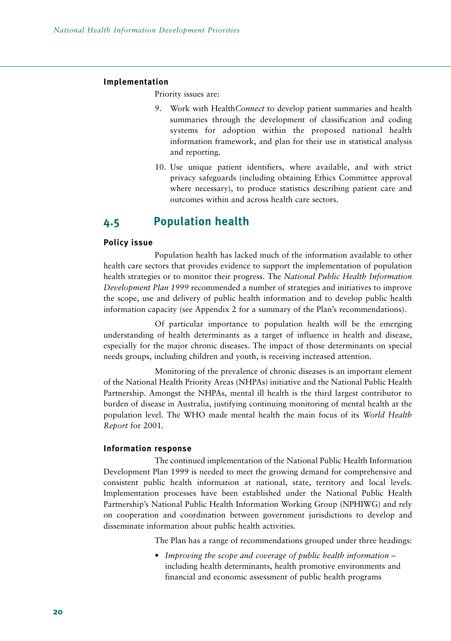#### **Implementation**

Priority issues are:

- 9. Work with Health*Connect* to develop patient summaries and health summaries through the development of classification and coding systems for adoption within the proposed national health information framework, and plan for their use in statistical analysis and reporting.
- 10. Use unique patient identifiers, where available, and with strict privacy safeguards (including obtaining Ethics Committee approval where necessary), to produce statistics describing patient care and outcomes within and across health care sectors.

### **4.5 Population health**

#### **Policy issue**

Population health has lacked much of the information available to other health care sectors that provides evidence to support the implementation of population health strategies or to monitor their progress. The *National Public Health Information Development Plan 1999* recommended a number of strategies and initiatives to improve the scope, use and delivery of public health information and to develop public health information capacity (see Appendix 2 for a summary of the Plan's recommendations).

Of particular importance to population health will be the emerging understanding of health determinants as a target of influence in health and disease, especially for the major chronic diseases. The impact of those determinants on special needs groups, including children and youth, is receiving increased attention.

Monitoring of the prevalence of chronic diseases is an important element of the National Health Priority Areas (NHPAs) initiative and the National Public Health Partnership. Amongst the NHPAs, mental ill health is the third largest contributor to burden of disease in Australia, justifying continuing monitoring of mental health at the population level. The WHO made mental health the main focus of its *World Health Report* for 2001.

#### **Information response**

The continued implementation of the National Public Health Information Development Plan 1999 is needed to meet the growing demand for comprehensive and consistent public health information at national, state, territory and local levels. Implementation processes have been established under the National Public Health Partnership's National Public Health Information Working Group (NPHIWG) and rely on cooperation and coordination between government jurisdictions to develop and disseminate information about public health activities.

The Plan has a range of recommendations grouped under three headings:

• *Improving the scope and coverage of public health information* – including health determinants, health promotive environments and financial and economic assessment of public health programs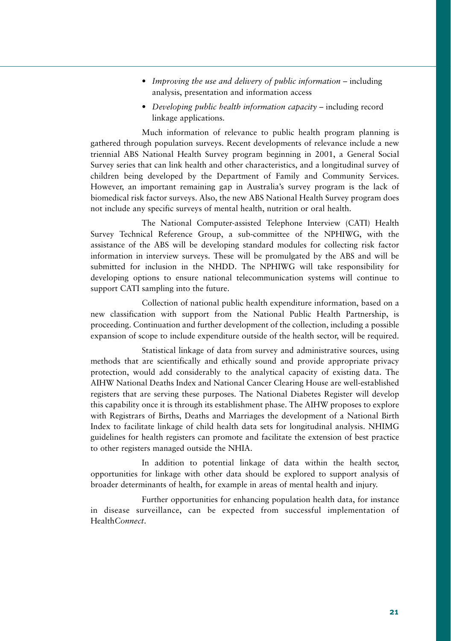- *Improving the use and delivery of public information* including analysis, presentation and information access
- *Developing public health information capacity* including record linkage applications.

Much information of relevance to public health program planning is gathered through population surveys. Recent developments of relevance include a new triennial ABS National Health Survey program beginning in 2001, a General Social Survey series that can link health and other characteristics, and a longitudinal survey of children being developed by the Department of Family and Community Services. However, an important remaining gap in Australia's survey program is the lack of biomedical risk factor surveys. Also, the new ABS National Health Survey program does not include any specific surveys of mental health, nutrition or oral health.

The National Computer-assisted Telephone Interview (CATI) Health Survey Technical Reference Group, a sub-committee of the NPHIWG, with the assistance of the ABS will be developing standard modules for collecting risk factor information in interview surveys. These will be promulgated by the ABS and will be submitted for inclusion in the NHDD. The NPHIWG will take responsibility for developing options to ensure national telecommunication systems will continue to support CATI sampling into the future.

Collection of national public health expenditure information, based on a new classification with support from the National Public Health Partnership, is proceeding. Continuation and further development of the collection, including a possible expansion of scope to include expenditure outside of the health sector, will be required.

Statistical linkage of data from survey and administrative sources, using methods that are scientifically and ethically sound and provide appropriate privacy protection, would add considerably to the analytical capacity of existing data. The AIHW National Deaths Index and National Cancer Clearing House are well-established registers that are serving these purposes. The National Diabetes Register will develop this capability once it is through its establishment phase. The AIHW proposes to explore with Registrars of Births, Deaths and Marriages the development of a National Birth Index to facilitate linkage of child health data sets for longitudinal analysis. NHIMG guidelines for health registers can promote and facilitate the extension of best practice to other registers managed outside the NHIA.

In addition to potential linkage of data within the health sector, opportunities for linkage with other data should be explored to support analysis of broader determinants of health, for example in areas of mental health and injury.

Further opportunities for enhancing population health data, for instance in disease surveillance, can be expected from successful implementation of Health*Connect*.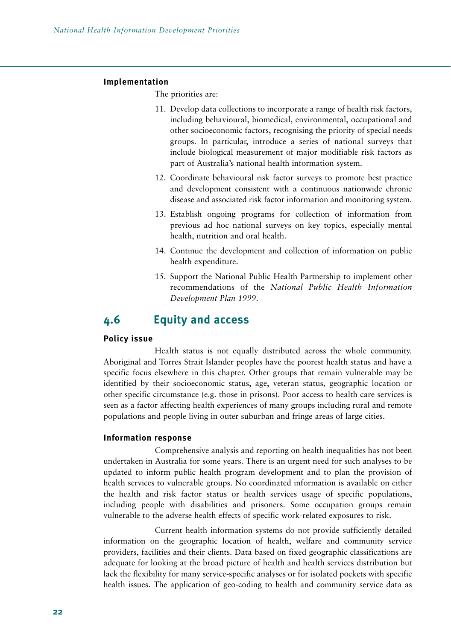#### **Implementation**

The priorities are:

- 11. Develop data collections to incorporate a range of health risk factors, including behavioural, biomedical, environmental, occupational and other socioeconomic factors, recognising the priority of special needs groups. In particular, introduce a series of national surveys that include biological measurement of major modifiable risk factors as part of Australia's national health information system.
- 12. Coordinate behavioural risk factor surveys to promote best practice and development consistent with a continuous nationwide chronic disease and associated risk factor information and monitoring system.
- 13. Establish ongoing programs for collection of information from previous ad hoc national surveys on key topics, especially mental health, nutrition and oral health.
- 14. Continue the development and collection of information on public health expenditure.
- 15. Support the National Public Health Partnership to implement other recommendations of the *National Public Health Information Development Plan 1999*.

### **4.6 Equity and access**

#### **Policy issue**

Health status is not equally distributed across the whole community. Aboriginal and Torres Strait Islander peoples have the poorest health status and have a specific focus elsewhere in this chapter. Other groups that remain vulnerable may be identified by their socioeconomic status, age, veteran status, geographic location or other specific circumstance (e.g. those in prisons). Poor access to health care services is seen as a factor affecting health experiences of many groups including rural and remote populations and people living in outer suburban and fringe areas of large cities.

#### **Information response**

Comprehensive analysis and reporting on health inequalities has not been undertaken in Australia for some years. There is an urgent need for such analyses to be updated to inform public health program development and to plan the provision of health services to vulnerable groups. No coordinated information is available on either the health and risk factor status or health services usage of specific populations, including people with disabilities and prisoners. Some occupation groups remain vulnerable to the adverse health effects of specific work-related exposures to risk.

Current health information systems do not provide sufficiently detailed information on the geographic location of health, welfare and community service providers, facilities and their clients. Data based on fixed geographic classifications are adequate for looking at the broad picture of health and health services distribution but lack the flexibility for many service-specific analyses or for isolated pockets with specific health issues. The application of geo-coding to health and community service data as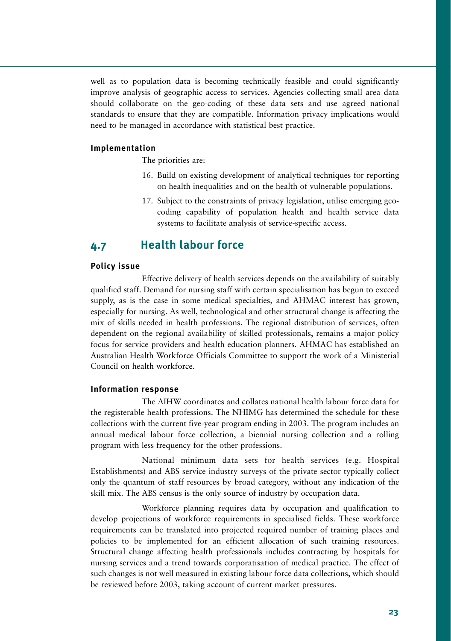well as to population data is becoming technically feasible and could significantly improve analysis of geographic access to services. Agencies collecting small area data should collaborate on the geo-coding of these data sets and use agreed national standards to ensure that they are compatible. Information privacy implications would need to be managed in accordance with statistical best practice.

#### **Implementation**

The priorities are:

- 16. Build on existing development of analytical techniques for reporting on health inequalities and on the health of vulnerable populations.
- 17. Subject to the constraints of privacy legislation, utilise emerging geocoding capability of population health and health service data systems to facilitate analysis of service-specific access.

# **4.7 Health labour force**

#### **Policy issue**

Effective delivery of health services depends on the availability of suitably qualified staff. Demand for nursing staff with certain specialisation has begun to exceed supply, as is the case in some medical specialties, and AHMAC interest has grown, especially for nursing. As well, technological and other structural change is affecting the mix of skills needed in health professions. The regional distribution of services, often dependent on the regional availability of skilled professionals, remains a major policy focus for service providers and health education planners. AHMAC has established an Australian Health Workforce Officials Committee to support the work of a Ministerial Council on health workforce.

#### **Information response**

The AIHW coordinates and collates national health labour force data for the registerable health professions. The NHIMG has determined the schedule for these collections with the current five-year program ending in 2003. The program includes an annual medical labour force collection, a biennial nursing collection and a rolling program with less frequency for the other professions.

National minimum data sets for health services (e.g. Hospital Establishments) and ABS service industry surveys of the private sector typically collect only the quantum of staff resources by broad category, without any indication of the skill mix. The ABS census is the only source of industry by occupation data.

Workforce planning requires data by occupation and qualification to develop projections of workforce requirements in specialised fields. These workforce requirements can be translated into projected required number of training places and policies to be implemented for an efficient allocation of such training resources. Structural change affecting health professionals includes contracting by hospitals for nursing services and a trend towards corporatisation of medical practice. The effect of such changes is not well measured in existing labour force data collections, which should be reviewed before 2003, taking account of current market pressures.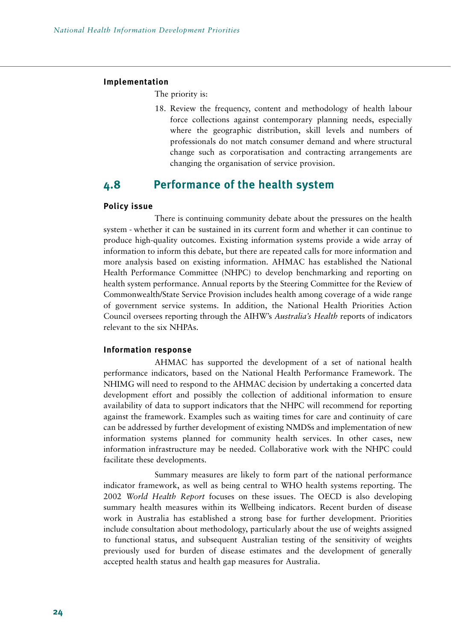#### **Implementation**

The priority is:

18. Review the frequency, content and methodology of health labour force collections against contemporary planning needs, especially where the geographic distribution, skill levels and numbers of professionals do not match consumer demand and where structural change such as corporatisation and contracting arrangements are changing the organisation of service provision.

# **4.8 Performance of the health system**

#### **Policy issue**

There is continuing community debate about the pressures on the health system - whether it can be sustained in its current form and whether it can continue to produce high-quality outcomes. Existing information systems provide a wide array of information to inform this debate, but there are repeated calls for more information and more analysis based on existing information. AHMAC has established the National Health Performance Committee (NHPC) to develop benchmarking and reporting on health system performance. Annual reports by the Steering Committee for the Review of Commonwealth/State Service Provision includes health among coverage of a wide range of government service systems. In addition, the National Health Priorities Action Council oversees reporting through the AIHW's *Australia's Health* reports of indicators relevant to the six NHPAs.

#### **Information response**

AHMAC has supported the development of a set of national health performance indicators, based on the National Health Performance Framework. The NHIMG will need to respond to the AHMAC decision by undertaking a concerted data development effort and possibly the collection of additional information to ensure availability of data to support indicators that the NHPC will recommend for reporting against the framework. Examples such as waiting times for care and continuity of care can be addressed by further development of existing NMDSs and implementation of new information systems planned for community health services. In other cases, new information infrastructure may be needed. Collaborative work with the NHPC could facilitate these developments.

Summary measures are likely to form part of the national performance indicator framework, as well as being central to WHO health systems reporting. The 2002 *World Health Report* focuses on these issues. The OECD is also developing summary health measures within its Wellbeing indicators. Recent burden of disease work in Australia has established a strong base for further development. Priorities include consultation about methodology, particularly about the use of weights assigned to functional status, and subsequent Australian testing of the sensitivity of weights previously used for burden of disease estimates and the development of generally accepted health status and health gap measures for Australia.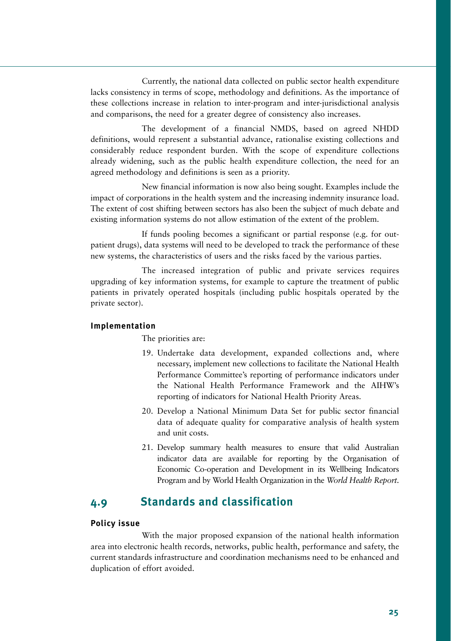Currently, the national data collected on public sector health expenditure lacks consistency in terms of scope, methodology and definitions. As the importance of these collections increase in relation to inter-program and inter-jurisdictional analysis and comparisons, the need for a greater degree of consistency also increases.

The development of a financial NMDS, based on agreed NHDD definitions, would represent a substantial advance, rationalise existing collections and considerably reduce respondent burden. With the scope of expenditure collections already widening, such as the public health expenditure collection, the need for an agreed methodology and definitions is seen as a priority.

New financial information is now also being sought. Examples include the impact of corporations in the health system and the increasing indemnity insurance load. The extent of cost shifting between sectors has also been the subject of much debate and existing information systems do not allow estimation of the extent of the problem.

If funds pooling becomes a significant or partial response (e.g. for outpatient drugs), data systems will need to be developed to track the performance of these new systems, the characteristics of users and the risks faced by the various parties.

The increased integration of public and private services requires upgrading of key information systems, for example to capture the treatment of public patients in privately operated hospitals (including public hospitals operated by the private sector).

#### **Implementation**

The priorities are:

- 19. Undertake data development, expanded collections and, where necessary, implement new collections to facilitate the National Health Performance Committee's reporting of performance indicators under the National Health Performance Framework and the AIHW's reporting of indicators for National Health Priority Areas.
- 20. Develop a National Minimum Data Set for public sector financial data of adequate quality for comparative analysis of health system and unit costs.
- 21. Develop summary health measures to ensure that valid Australian indicator data are available for reporting by the Organisation of Economic Co-operation and Development in its Wellbeing Indicators Program and by World Health Organization in the *World Health Report*.

# **4.9 Standards and classification**

#### **Policy issue**

With the major proposed expansion of the national health information area into electronic health records, networks, public health, performance and safety, the current standards infrastructure and coordination mechanisms need to be enhanced and duplication of effort avoided.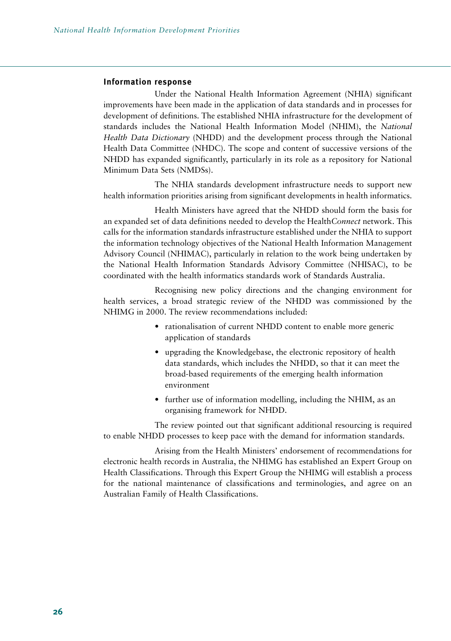#### **Information response**

Under the National Health Information Agreement (NHIA) significant improvements have been made in the application of data standards and in processes for development of definitions. The established NHIA infrastructure for the development of standards includes the National Health Information Model (NHIM), the *National Health Data Dictionary* (NHDD) and the development process through the National Health Data Committee (NHDC). The scope and content of successive versions of the NHDD has expanded significantly, particularly in its role as a repository for National Minimum Data Sets (NMDSs).

The NHIA standards development infrastructure needs to support new health information priorities arising from significant developments in health informatics.

Health Ministers have agreed that the NHDD should form the basis for an expanded set of data definitions needed to develop the Health*Connect* network. This calls for the information standards infrastructure established under the NHIA to support the information technology objectives of the National Health Information Management Advisory Council (NHIMAC), particularly in relation to the work being undertaken by the National Health Information Standards Advisory Committee (NHISAC), to be coordinated with the health informatics standards work of Standards Australia.

Recognising new policy directions and the changing environment for health services, a broad strategic review of the NHDD was commissioned by the NHIMG in 2000. The review recommendations included:

- rationalisation of current NHDD content to enable more generic application of standards
- upgrading the Knowledgebase, the electronic repository of health data standards, which includes the NHDD, so that it can meet the broad-based requirements of the emerging health information environment
- further use of information modelling, including the NHIM, as an organising framework for NHDD.

The review pointed out that significant additional resourcing is required to enable NHDD processes to keep pace with the demand for information standards.

Arising from the Health Ministers' endorsement of recommendations for electronic health records in Australia, the NHIMG has established an Expert Group on Health Classifications. Through this Expert Group the NHIMG will establish a process for the national maintenance of classifications and terminologies, and agree on an Australian Family of Health Classifications.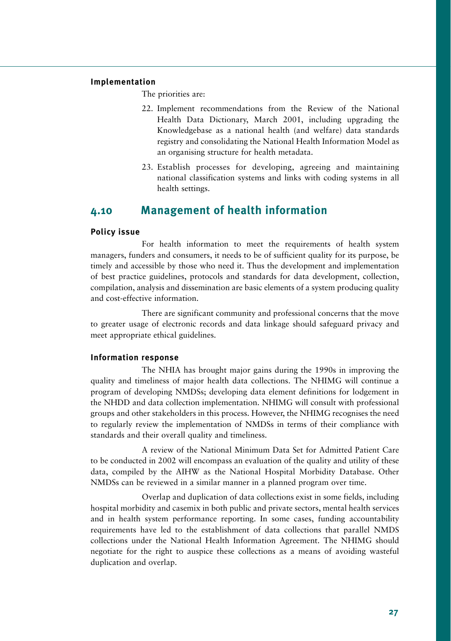#### **Implementation**

The priorities are:

- 22. Implement recommendations from the Review of the National Health Data Dictionary, March 2001, including upgrading the Knowledgebase as a national health (and welfare) data standards registry and consolidating the National Health Information Model as an organising structure for health metadata.
- 23. Establish processes for developing, agreeing and maintaining national classification systems and links with coding systems in all health settings.

# **4.10 Management of health information**

#### **Policy issue**

For health information to meet the requirements of health system managers, funders and consumers, it needs to be of sufficient quality for its purpose, be timely and accessible by those who need it. Thus the development and implementation of best practice guidelines, protocols and standards for data development, collection, compilation, analysis and dissemination are basic elements of a system producing quality and cost-effective information.

There are significant community and professional concerns that the move to greater usage of electronic records and data linkage should safeguard privacy and meet appropriate ethical guidelines.

#### **Information response**

The NHIA has brought major gains during the 1990s in improving the quality and timeliness of major health data collections. The NHIMG will continue a program of developing NMDSs; developing data element definitions for lodgement in the NHDD and data collection implementation. NHIMG will consult with professional groups and other stakeholders in this process. However, the NHIMG recognises the need to regularly review the implementation of NMDSs in terms of their compliance with standards and their overall quality and timeliness.

A review of the National Minimum Data Set for Admitted Patient Care to be conducted in 2002 will encompass an evaluation of the quality and utility of these data, compiled by the AIHW as the National Hospital Morbidity Database. Other NMDSs can be reviewed in a similar manner in a planned program over time.

Overlap and duplication of data collections exist in some fields, including hospital morbidity and casemix in both public and private sectors, mental health services and in health system performance reporting. In some cases, funding accountability requirements have led to the establishment of data collections that parallel NMDS collections under the National Health Information Agreement. The NHIMG should negotiate for the right to auspice these collections as a means of avoiding wasteful duplication and overlap.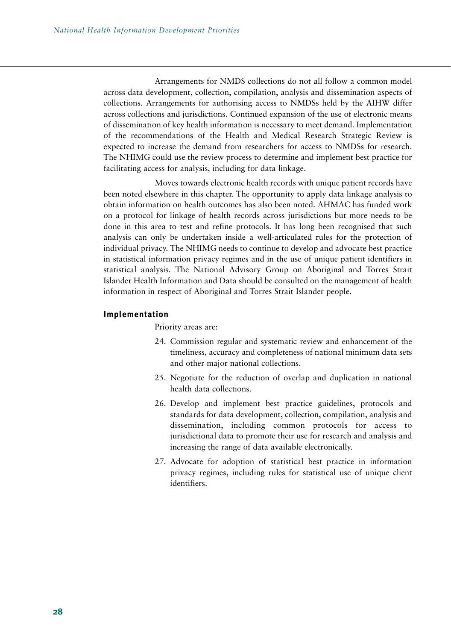Arrangements for NMDS collections do not all follow a common model across data development, collection, compilation, analysis and dissemination aspects of collections. Arrangements for authorising access to NMDSs held by the AIHW differ across collections and jurisdictions. Continued expansion of the use of electronic means of dissemination of key health information is necessary to meet demand. Implementation of the recommendations of the Health and Medical Research Strategic Review is expected to increase the demand from researchers for access to NMDSs for research. The NHIMG could use the review process to determine and implement best practice for facilitating access for analysis, including for data linkage.

Moves towards electronic health records with unique patient records have been noted elsewhere in this chapter. The opportunity to apply data linkage analysis to obtain information on health outcomes has also been noted. AHMAC has funded work on a protocol for linkage of health records across jurisdictions but more needs to be done in this area to test and refine protocols. It has long been recognised that such analysis can only be undertaken inside a well-articulated rules for the protection of individual privacy. The NHIMG needs to continue to develop and advocate best practice in statistical information privacy regimes and in the use of unique patient identifiers in statistical analysis. The National Advisory Group on Aboriginal and Torres Strait Islander Health Information and Data should be consulted on the management of health information in respect of Aboriginal and Torres Strait Islander people.

#### **Implementation**

Priority areas are:

- 24. Commission regular and systematic review and enhancement of the timeliness, accuracy and completeness of national minimum data sets and other major national collections.
- 25. Negotiate for the reduction of overlap and duplication in national health data collections.
- 26. Develop and implement best practice guidelines, protocols and standards for data development, collection, compilation, analysis and dissemination, including common protocols for access to jurisdictional data to promote their use for research and analysis and increasing the range of data available electronically.
- 27. Advocate for adoption of statistical best practice in information privacy regimes, including rules for statistical use of unique client identifiers.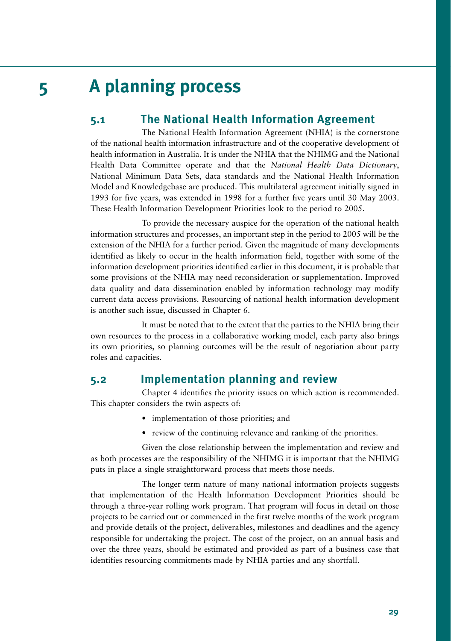# **5 A planning process**

# **5.1 The National Health Information Agreement**

The National Health Information Agreement (NHIA) is the cornerstone of the national health information infrastructure and of the cooperative development of health information in Australia. It is under the NHIA that the NHIMG and the National Health Data Committee operate and that the *National Health Data Dictionary*, National Minimum Data Sets, data standards and the National Health Information Model and Knowledgebase are produced. This multilateral agreement initially signed in 1993 for five years, was extended in 1998 for a further five years until 30 May 2003. These Health Information Development Priorities look to the period to 2005.

To provide the necessary auspice for the operation of the national health information structures and processes, an important step in the period to 2005 will be the extension of the NHIA for a further period. Given the magnitude of many developments identified as likely to occur in the health information field, together with some of the information development priorities identified earlier in this document, it is probable that some provisions of the NHIA may need reconsideration or supplementation. Improved data quality and data dissemination enabled by information technology may modify current data access provisions. Resourcing of national health information development is another such issue, discussed in Chapter 6.

It must be noted that to the extent that the parties to the NHIA bring their own resources to the process in a collaborative working model, each party also brings its own priorities, so planning outcomes will be the result of negotiation about party roles and capacities.

# **5.2 Implementation planning and review**

Chapter 4 identifies the priority issues on which action is recommended. This chapter considers the twin aspects of:

- implementation of those priorities; and
- review of the continuing relevance and ranking of the priorities.

Given the close relationship between the implementation and review and as both processes are the responsibility of the NHIMG it is important that the NHIMG puts in place a single straightforward process that meets those needs.

The longer term nature of many national information projects suggests that implementation of the Health Information Development Priorities should be through a three-year rolling work program. That program will focus in detail on those projects to be carried out or commenced in the first twelve months of the work program and provide details of the project, deliverables, milestones and deadlines and the agency responsible for undertaking the project. The cost of the project, on an annual basis and over the three years, should be estimated and provided as part of a business case that identifies resourcing commitments made by NHIA parties and any shortfall.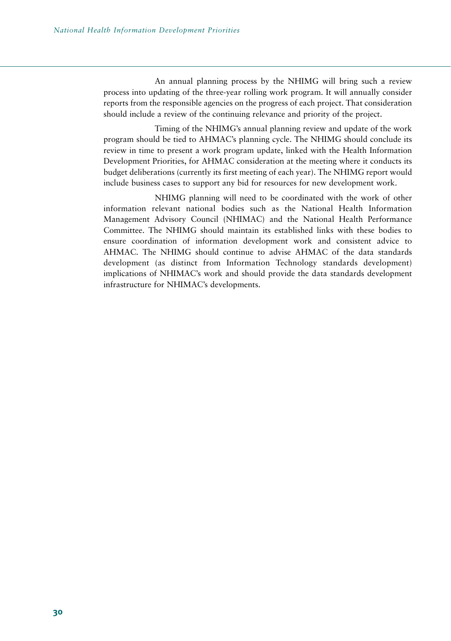An annual planning process by the NHIMG will bring such a review process into updating of the three-year rolling work program. It will annually consider reports from the responsible agencies on the progress of each project. That consideration should include a review of the continuing relevance and priority of the project.

Timing of the NHIMG's annual planning review and update of the work program should be tied to AHMAC's planning cycle. The NHIMG should conclude its review in time to present a work program update, linked with the Health Information Development Priorities, for AHMAC consideration at the meeting where it conducts its budget deliberations (currently its first meeting of each year). The NHIMG report would include business cases to support any bid for resources for new development work.

NHIMG planning will need to be coordinated with the work of other information relevant national bodies such as the National Health Information Management Advisory Council (NHIMAC) and the National Health Performance Committee. The NHIMG should maintain its established links with these bodies to ensure coordination of information development work and consistent advice to AHMAC. The NHIMG should continue to advise AHMAC of the data standards development (as distinct from Information Technology standards development) implications of NHIMAC's work and should provide the data standards development infrastructure for NHIMAC's developments.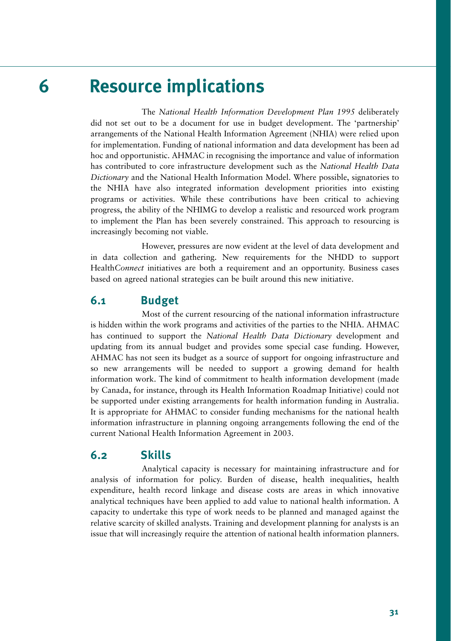# **6 Resource implications**

The *National Health Information Development Plan 1995* deliberately did not set out to be a document for use in budget development. The 'partnership' arrangements of the National Health Information Agreement (NHIA) were relied upon for implementation. Funding of national information and data development has been ad hoc and opportunistic. AHMAC in recognising the importance and value of information has contributed to core infrastructure development such as the *National Health Data Dictionary* and the National Health Information Model. Where possible, signatories to the NHIA have also integrated information development priorities into existing programs or activities. While these contributions have been critical to achieving progress, the ability of the NHIMG to develop a realistic and resourced work program to implement the Plan has been severely constrained. This approach to resourcing is increasingly becoming not viable.

However, pressures are now evident at the level of data development and in data collection and gathering. New requirements for the NHDD to support Health*Connect* initiatives are both a requirement and an opportunity. Business cases based on agreed national strategies can be built around this new initiative.

## **6.1 Budget**

Most of the current resourcing of the national information infrastructure is hidden within the work programs and activities of the parties to the NHIA. AHMAC has continued to support the *National Health Data Dictionary* development and updating from its annual budget and provides some special case funding. However, AHMAC has not seen its budget as a source of support for ongoing infrastructure and so new arrangements will be needed to support a growing demand for health information work. The kind of commitment to health information development (made by Canada, for instance, through its Health Information Roadmap Initiative) could not be supported under existing arrangements for health information funding in Australia. It is appropriate for AHMAC to consider funding mechanisms for the national health information infrastructure in planning ongoing arrangements following the end of the current National Health Information Agreement in 2003.

### **6.2 Skills**

Analytical capacity is necessary for maintaining infrastructure and for analysis of information for policy. Burden of disease, health inequalities, health expenditure, health record linkage and disease costs are areas in which innovative analytical techniques have been applied to add value to national health information. A capacity to undertake this type of work needs to be planned and managed against the relative scarcity of skilled analysts. Training and development planning for analysts is an issue that will increasingly require the attention of national health information planners.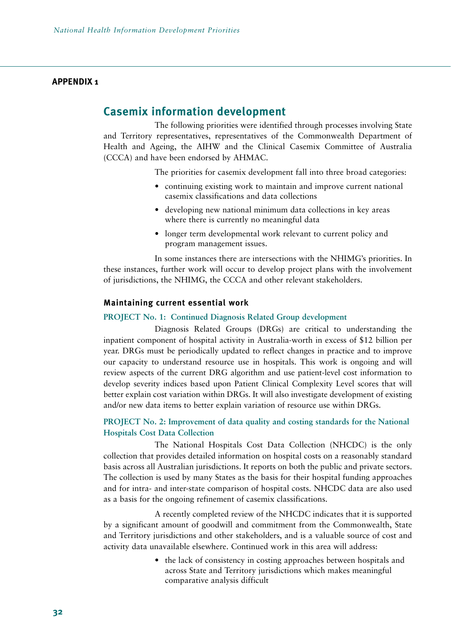#### **APPENDIX 1**

### **Casemix information development**

The following priorities were identified through processes involving State and Territory representatives, representatives of the Commonwealth Department of Health and Ageing, the AIHW and the Clinical Casemix Committee of Australia (CCCA) and have been endorsed by AHMAC.

The priorities for casemix development fall into three broad categories:

- continuing existing work to maintain and improve current national casemix classifications and data collections
- developing new national minimum data collections in key areas where there is currently no meaningful data
- longer term developmental work relevant to current policy and program management issues.

In some instances there are intersections with the NHIMG's priorities. In these instances, further work will occur to develop project plans with the involvement of jurisdictions, the NHIMG, the CCCA and other relevant stakeholders.

#### **Maintaining current essential work**

#### **PROJECT No. 1: Continued Diagnosis Related Group development**

Diagnosis Related Groups (DRGs) are critical to understanding the inpatient component of hospital activity in Australia-worth in excess of \$12 billion per year. DRGs must be periodically updated to reflect changes in practice and to improve our capacity to understand resource use in hospitals. This work is ongoing and will review aspects of the current DRG algorithm and use patient-level cost information to develop severity indices based upon Patient Clinical Complexity Level scores that will better explain cost variation within DRGs. It will also investigate development of existing and/or new data items to better explain variation of resource use within DRGs.

#### **PROJECT No. 2: Improvement of data quality and costing standards for the National Hospitals Cost Data Collection**

The National Hospitals Cost Data Collection (NHCDC) is the only collection that provides detailed information on hospital costs on a reasonably standard basis across all Australian jurisdictions. It reports on both the public and private sectors. The collection is used by many States as the basis for their hospital funding approaches and for intra- and inter-state comparison of hospital costs. NHCDC data are also used as a basis for the ongoing refinement of casemix classifications.

A recently completed review of the NHCDC indicates that it is supported by a significant amount of goodwill and commitment from the Commonwealth, State and Territory jurisdictions and other stakeholders, and is a valuable source of cost and activity data unavailable elsewhere. Continued work in this area will address:

> • the lack of consistency in costing approaches between hospitals and across State and Territory jurisdictions which makes meaningful comparative analysis difficult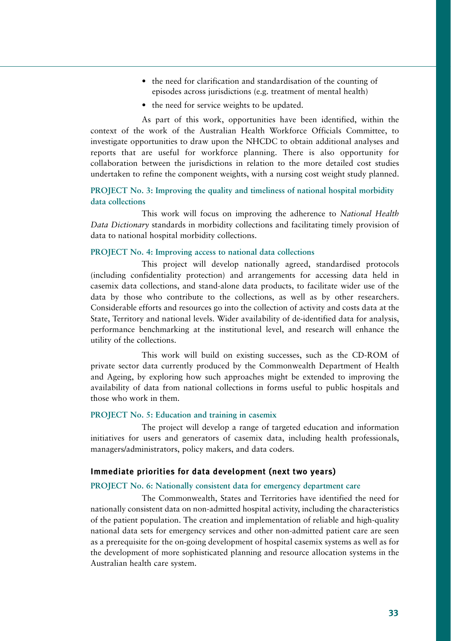- the need for clarification and standardisation of the counting of episodes across jurisdictions (e.g. treatment of mental health)
- the need for service weights to be updated.

As part of this work, opportunities have been identified, within the context of the work of the Australian Health Workforce Officials Committee, to investigate opportunities to draw upon the NHCDC to obtain additional analyses and reports that are useful for workforce planning. There is also opportunity for collaboration between the jurisdictions in relation to the more detailed cost studies undertaken to refine the component weights, with a nursing cost weight study planned.

#### **PROJECT No. 3: Improving the quality and timeliness of national hospital morbidity data collections**

This work will focus on improving the adherence to *National Health Data Dictionary* standards in morbidity collections and facilitating timely provision of data to national hospital morbidity collections.

#### **PROJECT No. 4: Improving access to national data collections**

This project will develop nationally agreed, standardised protocols (including confidentiality protection) and arrangements for accessing data held in casemix data collections, and stand-alone data products, to facilitate wider use of the data by those who contribute to the collections, as well as by other researchers. Considerable efforts and resources go into the collection of activity and costs data at the State, Territory and national levels. Wider availability of de-identified data for analysis, performance benchmarking at the institutional level, and research will enhance the utility of the collections.

This work will build on existing successes, such as the CD-ROM of private sector data currently produced by the Commonwealth Department of Health and Ageing, by exploring how such approaches might be extended to improving the availability of data from national collections in forms useful to public hospitals and those who work in them.

#### **PROJECT No. 5: Education and training in casemix**

The project will develop a range of targeted education and information initiatives for users and generators of casemix data, including health professionals, managers/administrators, policy makers, and data coders.

#### **Immediate priorities for data development (next two years)**

#### **PROJECT No. 6: Nationally consistent data for emergency department care**

The Commonwealth, States and Territories have identified the need for nationally consistent data on non-admitted hospital activity, including the characteristics of the patient population. The creation and implementation of reliable and high-quality national data sets for emergency services and other non-admitted patient care are seen as a prerequisite for the on-going development of hospital casemix systems as well as for the development of more sophisticated planning and resource allocation systems in the Australian health care system.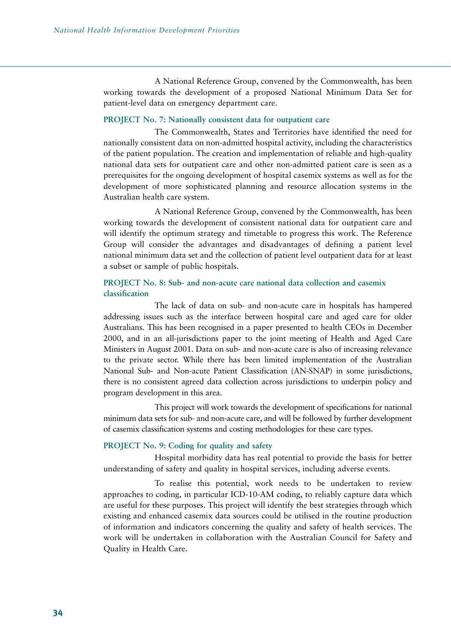A National Reference Group, convened by the Commonwealth, has been working towards the development of a proposed National Minimum Data Set for patient-level data on emergency department care.

#### **PROJECT No. 7: Nationally consistent data for outpatient care**

The Commonwealth, States and Territories have identified the need for nationally consistent data on non-admitted hospital activity, including the characteristics of the patient population. The creation and implementation of reliable and high-quality national data sets for outpatient care and other non-admitted patient care is seen as a prerequisites for the ongoing development of hospital casemix systems as well as for the development of more sophisticated planning and resource allocation systems in the Australian health care system.

A National Reference Group, convened by the Commonwealth, has been working towards the development of consistent national data for outpatient care and will identify the optimum strategy and timetable to progress this work. The Reference Group will consider the advantages and disadvantages of defining a patient level national minimum data set and the collection of patient level outpatient data for at least a subset or sample of public hospitals.

#### **PROJECT No. 8: Sub- and non-acute care national data collection and casemix classification**

The lack of data on sub- and non-acute care in hospitals has hampered addressing issues such as the interface between hospital care and aged care for older Australians. This has been recognised in a paper presented to health CEOs in December 2000, and in an all-jurisdictions paper to the joint meeting of Health and Aged Care Ministers in August 2001. Data on sub- and non-acute care is also of increasing relevance to the private sector. While there has been limited implementation of the Australian National Sub- and Non-acute Patient Classification (AN-SNAP) in some jurisdictions, there is no consistent agreed data collection across jurisdictions to underpin policy and program development in this area.

This project will work towards the development of specifications for national minimum data sets for sub- and non-acute care, and will be followed by further development of casemix classification systems and costing methodologies for these care types.

#### **PROJECT No. 9: Coding for quality and safety**

Hospital morbidity data has real potential to provide the basis for better understanding of safety and quality in hospital services, including adverse events.

To realise this potential, work needs to be undertaken to review approaches to coding, in particular ICD-10-AM coding, to reliably capture data which are useful for these purposes. This project will identify the best strategies through which existing and enhanced casemix data sources could be utilised in the routine production of information and indicators concerning the quality and safety of health services. The work will be undertaken in collaboration with the Australian Council for Safety and Quality in Health Care.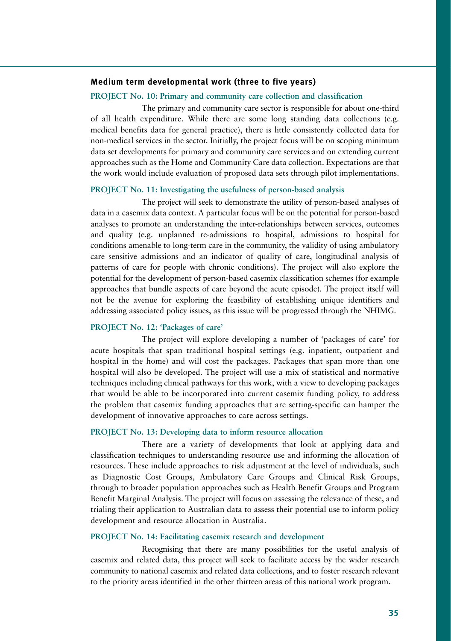#### **Medium term developmental work (three to five years)**

#### **PROJECT No. 10: Primary and community care collection and classification**

The primary and community care sector is responsible for about one-third of all health expenditure. While there are some long standing data collections (e.g. medical benefits data for general practice), there is little consistently collected data for non-medical services in the sector. Initially, the project focus will be on scoping minimum data set developments for primary and community care services and on extending current approaches such as the Home and Community Care data collection. Expectations are that the work would include evaluation of proposed data sets through pilot implementations.

#### **PROJECT No. 11: Investigating the usefulness of person-based analysis**

The project will seek to demonstrate the utility of person-based analyses of data in a casemix data context. A particular focus will be on the potential for person-based analyses to promote an understanding the inter-relationships between services, outcomes and quality (e.g. unplanned re-admissions to hospital, admissions to hospital for conditions amenable to long-term care in the community, the validity of using ambulatory care sensitive admissions and an indicator of quality of care, longitudinal analysis of patterns of care for people with chronic conditions). The project will also explore the potential for the development of person-based casemix classification schemes (for example approaches that bundle aspects of care beyond the acute episode). The project itself will not be the avenue for exploring the feasibility of establishing unique identifiers and addressing associated policy issues, as this issue will be progressed through the NHIMG.

#### **PROJECT No. 12: 'Packages of care'**

The project will explore developing a number of 'packages of care' for acute hospitals that span traditional hospital settings (e.g. inpatient, outpatient and hospital in the home) and will cost the packages. Packages that span more than one hospital will also be developed. The project will use a mix of statistical and normative techniques including clinical pathways for this work, with a view to developing packages that would be able to be incorporated into current casemix funding policy, to address the problem that casemix funding approaches that are setting-specific can hamper the development of innovative approaches to care across settings.

#### **PROJECT No. 13: Developing data to inform resource allocation**

There are a variety of developments that look at applying data and classification techniques to understanding resource use and informing the allocation of resources. These include approaches to risk adjustment at the level of individuals, such as Diagnostic Cost Groups, Ambulatory Care Groups and Clinical Risk Groups, through to broader population approaches such as Health Benefit Groups and Program Benefit Marginal Analysis. The project will focus on assessing the relevance of these, and trialing their application to Australian data to assess their potential use to inform policy development and resource allocation in Australia.

#### **PROJECT No. 14: Facilitating casemix research and development**

Recognising that there are many possibilities for the useful analysis of casemix and related data, this project will seek to facilitate access by the wider research community to national casemix and related data collections, and to foster research relevant to the priority areas identified in the other thirteen areas of this national work program.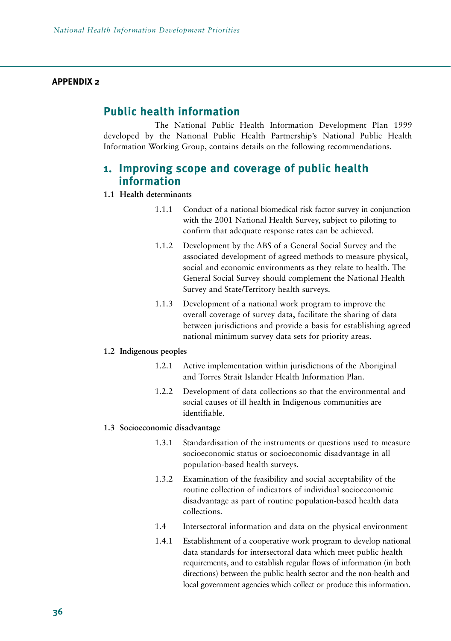#### **APPENDIX 2**

# **Public health information**

The National Public Health Information Development Plan 1999 developed by the National Public Health Partnership's National Public Health Information Working Group, contains details on the following recommendations.

# **1. Improving scope and coverage of public health information**

#### **1.1 Health determinants**

- 1.1.1 Conduct of a national biomedical risk factor survey in conjunction with the 2001 National Health Survey, subject to piloting to confirm that adequate response rates can be achieved.
- 1.1.2 Development by the ABS of a General Social Survey and the associated development of agreed methods to measure physical, social and economic environments as they relate to health. The General Social Survey should complement the National Health Survey and State/Territory health surveys.
- 1.1.3 Development of a national work program to improve the overall coverage of survey data, facilitate the sharing of data between jurisdictions and provide a basis for establishing agreed national minimum survey data sets for priority areas.

#### **1.2 Indigenous peoples**

- 1.2.1 Active implementation within jurisdictions of the Aboriginal and Torres Strait Islander Health Information Plan.
- 1.2.2 Development of data collections so that the environmental and social causes of ill health in Indigenous communities are identifiable.

#### **1.3 Socioeconomic disadvantage**

- 1.3.1 Standardisation of the instruments or questions used to measure socioeconomic status or socioeconomic disadvantage in all population-based health surveys.
- 1.3.2 Examination of the feasibility and social acceptability of the routine collection of indicators of individual socioeconomic disadvantage as part of routine population-based health data collections.
- 1.4 Intersectoral information and data on the physical environment
- 1.4.1 Establishment of a cooperative work program to develop national data standards for intersectoral data which meet public health requirements, and to establish regular flows of information (in both directions) between the public health sector and the non-health and local government agencies which collect or produce this information.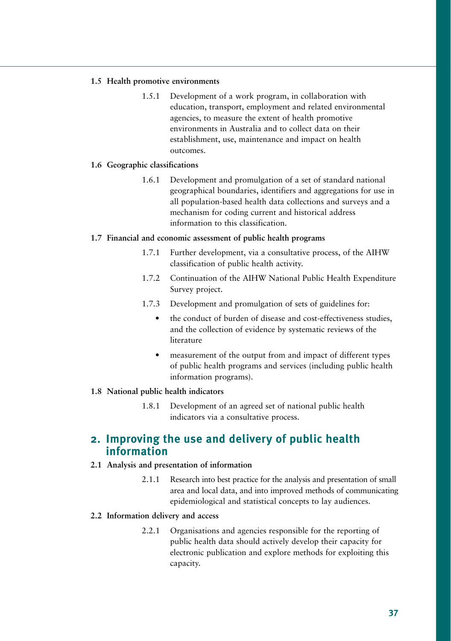#### **1.5 Health promotive environments**

1.5.1 Development of a work program, in collaboration with education, transport, employment and related environmental agencies, to measure the extent of health promotive environments in Australia and to collect data on their establishment, use, maintenance and impact on health outcomes.

#### **1.6 Geographic classifications**

1.6.1 Development and promulgation of a set of standard national geographical boundaries, identifiers and aggregations for use in all population-based health data collections and surveys and a mechanism for coding current and historical address information to this classification.

#### **1.7 Financial and economic assessment of public health programs**

- 1.7.1 Further development, via a consultative process, of the AIHW classification of public health activity.
- 1.7.2 Continuation of the AIHW National Public Health Expenditure Survey project.
- 1.7.3 Development and promulgation of sets of guidelines for:
	- the conduct of burden of disease and cost-effectiveness studies, and the collection of evidence by systematic reviews of the literature
	- measurement of the output from and impact of different types of public health programs and services (including public health information programs).

#### **1.8 National public health indicators**

1.8.1 Development of an agreed set of national public health indicators via a consultative process.

# **2. Improving the use and delivery of public health information**

#### **2.1 Analysis and presentation of information**

2.1.1 Research into best practice for the analysis and presentation of small area and local data, and into improved methods of communicating epidemiological and statistical concepts to lay audiences.

#### **2.2 Information delivery and access**

2.2.1 Organisations and agencies responsible for the reporting of public health data should actively develop their capacity for electronic publication and explore methods for exploiting this capacity.